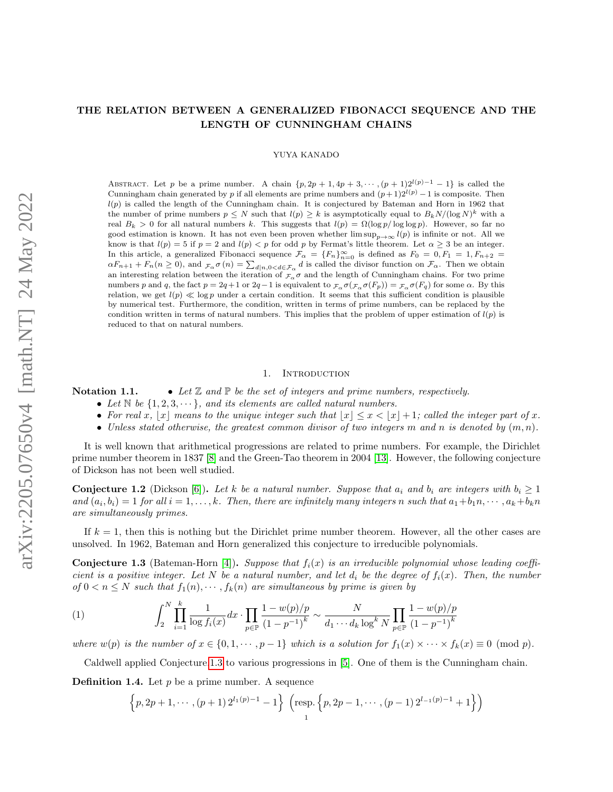# THE RELATION BETWEEN A GENERALIZED FIBONACCI SEQUENCE AND THE LENGTH OF CUNNINGHAM CHAINS

### YUYA KANADO

ABSTRACT. Let p be a prime number. A chain  $\{p, 2p + 1, 4p + 3, \dots, (p + 1)2^{l(p)-1} - 1\}$  is called the Cunningham chain generated by p if all elements are prime numbers and  $(p+1)2^{l(p)}-1$  is composite. Then  $l(p)$  is called the length of the Cunningham chain. It is conjectured by Bateman and Horn in 1962 that the number of prime numbers  $p \leq N$  such that  $l(p) \geq k$  is asymptotically equal to  $B_k N / (\log N)^k$  with a real  $B_k > 0$  for all natural numbers k. This suggests that  $l(p) = \Omega(\log p / \log \log p)$ . However, so far no good estimation is known. It has not even been proven whether  $\limsup_{n\to\infty} l(p)$  is infinite or not. All we know is that  $l(p) = 5$  if  $p = 2$  and  $l(p) < p$  for odd p by Fermat's little theorem. Let  $\alpha \geq 3$  be an integer. In this article, a generalized Fibonacci sequence  $\mathcal{F}_{\alpha} = \{F_n\}_{n=0}^{\infty}$  is defined as  $F_0 = 0, F_1 = 1, F_{n+2} =$  $\alpha F_{n+1} + F_n(n \ge 0)$ , and  $\tau_\alpha \sigma(n) = \sum_{d|n, 0 < d \in \mathcal{F}_\alpha} d$  is called the divisor function on  $\mathcal{F}_\alpha$ . Then we obtain an interesting relation between the iteration of  $\mathcal{F}_{\alpha}\sigma$  and the length of Cunningham chains. For two prime numbers p and q, the fact  $p = 2q + 1$  or  $2q - 1$  is equivalent to  $\mathcal{F}_{\alpha} \sigma(\mathcal{F}_{\alpha} \sigma(F_p)) = \mathcal{F}_{\alpha} \sigma(F_q)$  for some  $\alpha$ . By this relation, we get  $l(p) \ll \log p$  under a certain condition. It seems that this sufficient condition is plausible by numerical test. Furthermore, the condition, written in terms of prime numbers, can be replaced by the condition written in terms of natural numbers. This implies that the problem of upper estimation of  $l(p)$  is reduced to that on natural numbers.

## 1. INTRODUCTION

Notation 1.1. • Let  $\mathbb Z$  and  $\mathbb P$  be the set of integers and prime numbers, respectively.

- Let  $\mathbb N$  be  $\{1, 2, 3, \dots\}$ , and its elements are called natural numbers.
- For real x, |x| means to the unique integer such that  $|x| \leq x < |x| + 1$ ; called the integer part of x.
- Unless stated otherwise, the greatest common divisor of two integers m and n is denoted by  $(m, n)$ .

It is well known that arithmetical progressions are related to prime numbers. For example, the Dirichlet prime number theorem in 1837 [\[8\]](#page-17-0) and the Green-Tao theorem in 2004 [\[13\]](#page-17-1). However, the following conjecture of Dickson has not been well studied.

**Conjecture 1.2** (Dickson [\[6\]](#page-17-2)). Let k be a natural number. Suppose that  $a_i$  and  $b_i$  are integers with  $b_i \geq 1$ and  $(a_i, b_i) = 1$  for all  $i = 1, ..., k$ . Then, there are infinitely many integers n such that  $a_1 + b_1 n, \dots, a_k + b_k n$ are simultaneously primes.

If  $k = 1$ , then this is nothing but the Dirichlet prime number theorem. However, all the other cases are unsolved. In 1962, Bateman and Horn generalized this conjecture to irreducible polynomials.

<span id="page-0-0"></span>**Conjecture 1.3** (Bateman-Horn [\[4\]](#page-17-3)). Suppose that  $f_i(x)$  is an irreducible polynomial whose leading coefficient is a positive integer. Let N be a natural number, and let  $d_i$  be the degree of  $f_i(x)$ . Then, the number of  $0 < n \leq N$  such that  $f_1(n), \dots, f_k(n)$  are simultaneous by prime is given by

<span id="page-0-1"></span>(1) 
$$
\int_{2}^{N} \prod_{i=1}^{k} \frac{1}{\log f_i(x)} dx \cdot \prod_{p \in \mathbb{P}} \frac{1 - w(p)/p}{(1 - p^{-1})^k} \sim \frac{N}{d_1 \cdots d_k \log^k N} \prod_{p \in \mathbb{P}} \frac{1 - w(p)/p}{(1 - p^{-1})^k}
$$

where  $w(p)$  is the number of  $x \in \{0, 1, \dots, p-1\}$  which is a solution for  $f_1(x) \times \dots \times f_k(x) \equiv 0 \pmod{p}$ .

Caldwell applied Conjecture[.1.3](#page-0-0) to various progressions in [\[5\]](#page-17-4). One of them is the Cunningham chain.

**Definition 1.4.** Let  $p$  be a prime number. A sequence

$$
\left\{p, 2p+1, \cdots, (p+1) 2^{l_1(p)-1}-1\right\} \left(\text{resp.}\left\{p, 2p-1, \cdots, (p-1) 2^{l_{-1}(p)-1}+1\right\}\right)
$$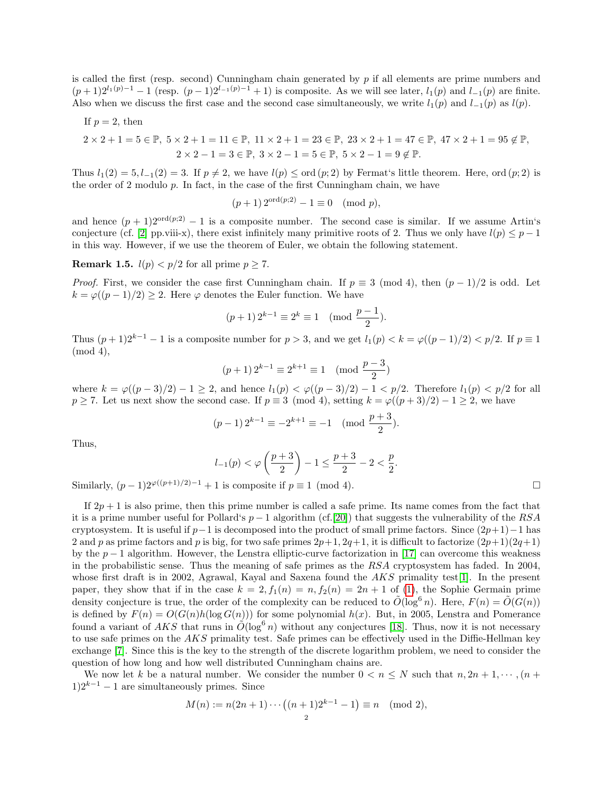is called the first (resp. second) Cunningham chain generated by  $p$  if all elements are prime numbers and  $(p+1)2^{l_1(p)-1} - 1$  (resp.  $(p-1)2^{l_{-1}(p)-1} + 1$ ) is composite. As we will see later,  $l_1(p)$  and  $l_{-1}(p)$  are finite. Also when we discuss the first case and the second case simultaneously, we write  $l_1(p)$  and  $l_{-1}(p)$  as  $l(p)$ .

If 
$$
p = 2
$$
, then  
\n $2 \times 2 + 1 = 5 \in \mathbb{P}$ ,  $5 \times 2 + 1 = 11 \in \mathbb{P}$ ,  $11 \times 2 + 1 = 23 \in \mathbb{P}$ ,  $23 \times 2 + 1 = 47 \in \mathbb{P}$ ,  $47 \times 2 + 1 = 95 \notin \mathbb{P}$ ,  
\n $2 \times 2 - 1 = 3 \in \mathbb{P}$ ,  $3 \times 2 - 1 = 5 \in \mathbb{P}$ ,  $5 \times 2 - 1 = 9 \notin \mathbb{P}$ .

Thus  $l_1(2) = 5, l_{-1}(2) = 3$ . If  $p \neq 2$ , we have  $l(p) \leq \text{ord}(p; 2)$  by Fermat's little theorem. Here, ord  $(p; 2)$  is the order of  $2$  modulo  $p$ . In fact, in the case of the first Cunningham chain, we have

$$
(p+1) 2^{\text{ord}(p;2)} - 1 \equiv 0 \pmod{p},
$$

and hence  $(p + 1)2^{\text{ord}(p,2)} - 1$  is a composite number. The second case is similar. If we assume Artin's conjecture (cf. [\[2\]](#page-17-5) pp.viii-x), there exist infinitely many primitive roots of 2. Thus we only have  $l(p) \leq p-1$ in this way. However, if we use the theorem of Euler, we obtain the following statement.

**Remark 1.5.**  $l(p) < p/2$  for all prime  $p \ge 7$ .

*Proof.* First, we consider the case first Cunningham chain. If  $p \equiv 3 \pmod{4}$ , then  $(p-1)/2$  is odd. Let  $k = \varphi((p-1)/2) \geq 2$ . Here  $\varphi$  denotes the Euler function. We have

$$
(p+1) 2^{k-1} \equiv 2^k \equiv 1 \pmod{\frac{p-1}{2}}.
$$

Thus  $(p+1)2^{k-1}-1$  is a composite number for  $p > 3$ , and we get  $l_1(p) < k = \varphi((p-1)/2) < p/2$ . If  $p \equiv 1$ (mod 4),

$$
(p+1)\, 2^{k-1} \equiv 2^{k+1} \equiv 1 \pmod{\frac{p-3}{2}}
$$

where  $k = \varphi((p-3)/2) - 1 \geq 2$ , and hence  $l_1(p) < \varphi((p-3)/2) - 1 < p/2$ . Therefore  $l_1(p) < p/2$  for all  $p \ge 7$ . Let us next show the second case. If  $p \equiv 3 \pmod{4}$ , setting  $k = \varphi((p+3)/2) - 1 \ge 2$ , we have

$$
(p-1) 2^{k-1} \equiv -2^{k+1} \equiv -1 \pmod{\frac{p+3}{2}}
$$
.

Thus,

$$
l_{-1}(p) < \varphi\left(\frac{p+3}{2}\right) - 1 \le \frac{p+3}{2} - 2 < \frac{p}{2}
$$

.

Similarly,  $(p-1)2^{\varphi((p+1)/2)-1}+1$  is composite if  $p \equiv 1 \pmod{4}$ .

If  $2p + 1$  is also prime, then this prime number is called a safe prime. Its name comes from the fact that it is a prime number useful for Pollard's  $p-1$  algorithm (cf.[\[20\]](#page-17-6)) that suggests the vulnerability of the RSA cryptosystem. It is useful if  $p-1$  is decomposed into the product of small prime factors. Since  $(2p+1)-1$  has 2 and p as prime factors and p is big, for two safe primes  $2p+1$ ,  $2q+1$ , it is difficult to factorize  $(2p+1)(2q+1)$ by the  $p-1$  algorithm. However, the Lenstra elliptic-curve factorization in [\[17\]](#page-17-7) can overcome this weakness in the probabilistic sense. Thus the meaning of safe primes as the RSA cryptosystem has faded. In 2004, whose first draft is in 2002, Agrawal, Kayal and Saxena found the  $AKS$  primality test[\[1\]](#page-17-8). In the present paper, they show that if in the case  $k = 2$ ,  $f_1(n) = n$ ,  $f_2(n) = 2n + 1$  of [\(1\)](#page-0-1), the Sophie Germain prime density conjecture is true, the order of the complexity can be reduced to  $\tilde{O}(\log^6 n)$ . Here,  $F(n) = \tilde{O}(G(n))$ is defined by  $F(n) = O(G(n)h(\log G(n)))$  for some polynomial  $h(x)$ . But, in 2005, Lenstra and Pomerance found a variant of AKS that runs in  $\tilde{O}(\log^6 n)$  without any conjectures [\[18\]](#page-17-9). Thus, now it is not necessary to use safe primes on the  $AKS$  primality test. Safe primes can be effectively used in the Diffie-Hellman key exchange [\[7\]](#page-17-10). Since this is the key to the strength of the discrete logarithm problem, we need to consider the question of how long and how well distributed Cunningham chains are.

We now let k be a natural number. We consider the number  $0 < n \leq N$  such that  $n, 2n + 1, \dots, (n + 1)$  $1)2^{k-1} - 1$  are simultaneously primes. Since

$$
M(n) := n(2n+1)\cdots((n+1)2^{k-1}-1) \equiv n \pmod{2},
$$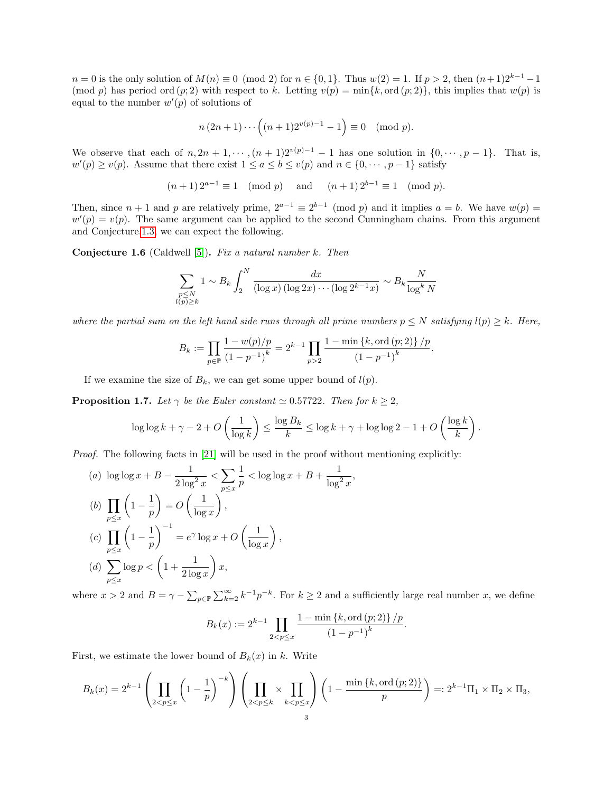$n = 0$  is the only solution of  $M(n) \equiv 0 \pmod{2}$  for  $n \in \{0, 1\}$ . Thus  $w(2) = 1$ . If  $p > 2$ , then  $(n+1)2^{k-1} - 1$ (mod p) has period ord  $(p; 2)$  with respect to k. Letting  $v(p) = \min\{k, \text{ord}(p; 2)\}\)$ , this implies that  $w(p)$  is equal to the number  $w'(p)$  of solutions of

$$
n (2n + 1) \cdots ((n + 1)2^{v(p)-1} - 1) \equiv 0 \pmod{p}.
$$

We observe that each of  $n, 2n + 1, \dots, (n + 1)2^{v(p)-1} - 1$  has one solution in  $\{0, \dots, p-1\}$ . That is,  $w'(p) \ge v(p)$ . Assume that there exist  $1 \le a \le b \le v(p)$  and  $n \in \{0, \dots, p-1\}$  satisfy

$$
(n+1) 2^{a-1} \equiv 1 \pmod{p}
$$
 and  $(n+1) 2^{b-1} \equiv 1 \pmod{p}$ .

Then, since  $n + 1$  and p are relatively prime,  $2^{a-1} \equiv 2^{b-1} \pmod{p}$  and it implies  $a = b$ . We have  $w(p) =$  $w'(p) = v(p)$ . The same argument can be applied to the second Cunningham chains. From this argument and Conjecture[.1.3,](#page-0-0) we can expect the following.

<span id="page-2-0"></span>**Conjecture 1.6** (Caldwell [\[5\]](#page-17-4)). Fix a natural number  $k$ . Then

$$
\sum_{\substack{p \le N \\ l(p) \ge k}} 1 \sim B_k \int_2^N \frac{dx}{(\log x) (\log 2x) \cdots (\log 2^{k-1}x)} \sim B_k \frac{N}{\log^k N}
$$

where the partial sum on the left hand side runs through all prime numbers  $p \leq N$  satisfying  $l(p) \geq k$ . Here,

$$
B_k := \prod_{p \in \mathbb{P}} \frac{1 - w(p)/p}{(1 - p^{-1})^k} = 2^{k-1} \prod_{p > 2} \frac{1 - \min\{k, \text{ord}(p; 2)\}}{(1 - p^{-1})^k}.
$$

If we examine the size of  $B_k$ , we can get some upper bound of  $l(p)$ .

<span id="page-2-1"></span>**Proposition 1.7.** Let  $\gamma$  be the Euler constant  $\simeq 0.57722$ . Then for  $k \geq 2$ ,

$$
\log \log k + \gamma - 2 + O\left(\frac{1}{\log k}\right) \le \frac{\log B_k}{k} \le \log k + \gamma + \log \log 2 - 1 + O\left(\frac{\log k}{k}\right).
$$

 $\frac{1}{x}$ 

Proof. The following facts in [\[21\]](#page-17-11) will be used in the proof without mentioning explicitly:

(a) 
$$
\log \log x + B - \frac{1}{2 \log^2 x} < \sum_{p \le x} \frac{1}{p} < \log \log x + B + \frac{1}{\log^2 x}
$$
  
\n(b)  $\prod_{p \le x} \left(1 - \frac{1}{p}\right) = O\left(\frac{1}{\log x}\right)$ ,  
\n(c)  $\prod_{p \le x} \left(1 - \frac{1}{p}\right)^{-1} = e^{\gamma} \log x + O\left(\frac{1}{\log x}\right)$ ,  
\n(d)  $\sum_{p \le x} \log p < \left(1 + \frac{1}{2 \log x}\right) x$ ,

where  $x > 2$  and  $B = \gamma - \sum_{p \in \mathbb{P}} \sum_{k=2}^{\infty} k^{-1} p^{-k}$ . For  $k \ge 2$  and a sufficiently large real number x, we define

$$
B_k(x) := 2^{k-1} \prod_{2 < p \leq x} \frac{1 - \min\{k, \operatorname{ord}(p; 2)\} / p}{(1 - p^{-1})^k}.
$$

First, we estimate the lower bound of  $B_k(x)$  in k. Write

$$
B_k(x) = 2^{k-1} \left( \prod_{2 < p \le x} \left( 1 - \frac{1}{p} \right)^{-k} \right) \left( \prod_{2 < p \le k} \times \prod_{k < p \le x} \right) \left( 1 - \frac{\min \{ k, \text{ord}(p; 2) \}}{p} \right) =: 2^{k-1} \Pi_1 \times \Pi_2 \times \Pi_3,
$$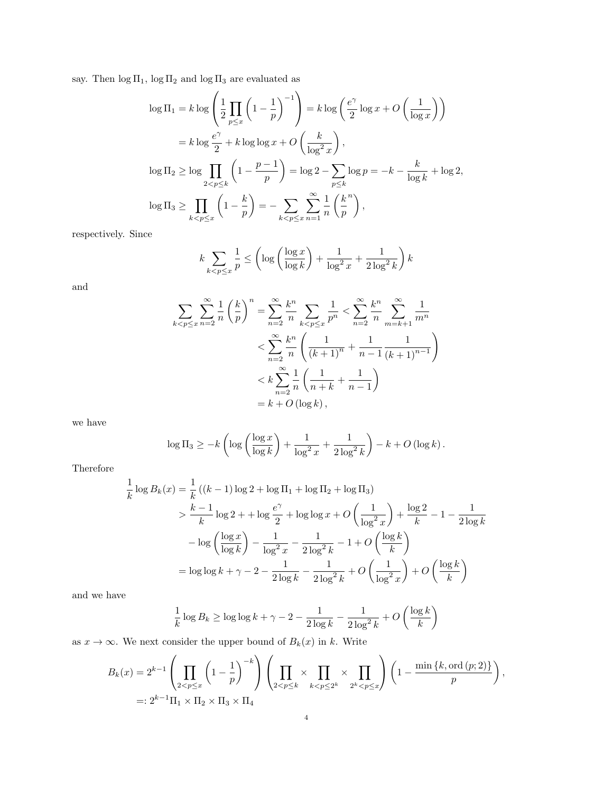say. Then  $\log \Pi_1$ ,  $\log \Pi_2$  and  $\log \Pi_3$  are evaluated as

$$
\log \Pi_1 = k \log \left( \frac{1}{2} \prod_{p \le x} \left( 1 - \frac{1}{p} \right)^{-1} \right) = k \log \left( \frac{e^{\gamma}}{2} \log x + O \left( \frac{1}{\log x} \right) \right)
$$
  

$$
= k \log \frac{e^{\gamma}}{2} + k \log \log x + O \left( \frac{k}{\log^2 x} \right),
$$
  

$$
\log \Pi_2 \ge \log \prod_{2 < p \le k} \left( 1 - \frac{p-1}{p} \right) = \log 2 - \sum_{p \le k} \log p = -k - \frac{k}{\log k} + \log 2,
$$
  

$$
\log \Pi_3 \ge \prod_{k < p \le x} \left( 1 - \frac{k}{p} \right) = - \sum_{k < p \le x} \sum_{n=1}^{\infty} \frac{1}{n} \left( \frac{k}{p} \right),
$$

respectively. Since

$$
k \sum_{k < p \le x} \frac{1}{p} \le \left( \log \left( \frac{\log x}{\log k} \right) + \frac{1}{\log^2 x} + \frac{1}{2 \log^2 k} \right) k
$$

and

$$
\sum_{k < p \le x} \sum_{n=2}^{\infty} \frac{1}{n} \left(\frac{k}{p}\right)^n = \sum_{n=2}^{\infty} \frac{k^n}{n} \sum_{k < p \le x} \frac{1}{p^n} < \sum_{n=2}^{\infty} \frac{k^n}{n} \sum_{m=k+1}^{\infty} \frac{1}{m^n}
$$
\n
$$
< \sum_{n=2}^{\infty} \frac{k^n}{n} \left(\frac{1}{(k+1)^n} + \frac{1}{n-1} \frac{1}{(k+1)^{n-1}}\right)
$$
\n
$$
< k \sum_{n=2}^{\infty} \frac{1}{n} \left(\frac{1}{n+k} + \frac{1}{n-1}\right)
$$
\n
$$
= k + O\left(\log k\right),
$$

we have

$$
\log \Pi_3 \geq -k \left( \log \left( \frac{\log x}{\log k} \right) + \frac{1}{\log^2 x} + \frac{1}{2 \log^2 k} \right) - k + O\left( \log k \right).
$$

Therefore

$$
\frac{1}{k}\log B_k(x) = \frac{1}{k}((k-1)\log 2 + \log \Pi_1 + \log \Pi_2 + \log \Pi_3)
$$
\n
$$
> \frac{k-1}{k}\log 2 + \log \frac{e^{\gamma}}{2} + \log \log x + O\left(\frac{1}{\log^2 x}\right) + \frac{\log 2}{k} - 1 - \frac{1}{2\log k}
$$
\n
$$
- \log \left(\frac{\log x}{\log k}\right) - \frac{1}{\log^2 x} - \frac{1}{2\log^2 k} - 1 + O\left(\frac{\log k}{k}\right)
$$
\n
$$
= \log \log k + \gamma - 2 - \frac{1}{2\log k} - \frac{1}{2\log^2 k} + O\left(\frac{1}{\log^2 x}\right) + O\left(\frac{\log k}{k}\right)
$$

and we have

$$
\frac{1}{k}\log B_k \ge \log \log k + \gamma - 2 - \frac{1}{2\log k} - \frac{1}{2\log^2 k} + O\left(\frac{\log k}{k}\right)
$$

as  $x \to \infty$ . We next consider the upper bound of  $B_k(x)$  in k. Write

$$
B_k(x) = 2^{k-1} \left( \prod_{2 < p \le x} \left( 1 - \frac{1}{p} \right)^{-k} \right) \left( \prod_{2 < p \le k} \times \prod_{k < p \le 2^k} \times \prod_{2^{k} < p \le x} \right) \left( 1 - \frac{\min \{ k, \text{ord}(p; 2) \}}{p} \right),
$$
  
=:  $2^{k-1} \Pi_1 \times \Pi_2 \times \Pi_3 \times \Pi_4$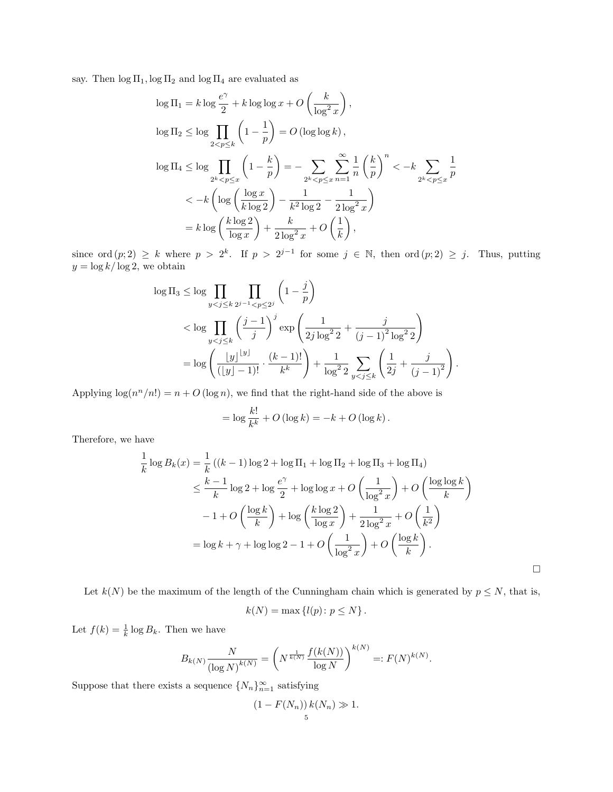say. Then  $\log \Pi_1$ ,  $\log \Pi_2$  and  $\log \Pi_4$  are evaluated as

$$
\log \Pi_1 = k \log \frac{e^{\gamma}}{2} + k \log \log x + O\left(\frac{k}{\log^2 x}\right),
$$
  
\n
$$
\log \Pi_2 \le \log \prod_{2 < p \le k} \left(1 - \frac{1}{p}\right) = O\left(\log \log k\right),
$$
  
\n
$$
\log \Pi_4 \le \log \prod_{2^k < p \le x} \left(1 - \frac{k}{p}\right) = - \sum_{2^k < p \le x} \sum_{n=1}^{\infty} \frac{1}{n} \left(\frac{k}{p}\right)^n < -k \sum_{2^k < p \le x} \frac{1}{p}
$$
  
\n
$$
\le -k \left(\log \left(\frac{\log x}{k \log 2}\right) - \frac{1}{k^2 \log 2} - \frac{1}{2 \log^2 x}\right)
$$
  
\n
$$
= k \log \left(\frac{k \log 2}{\log x}\right) + \frac{k}{2 \log^2 x} + O\left(\frac{1}{k}\right),
$$

since ord  $(p; 2) \geq k$  where  $p > 2^k$ . If  $p > 2^{j-1}$  for some  $j \in \mathbb{N}$ , then ord  $(p; 2) \geq j$ . Thus, putting  $y = \log k / \log 2$ , we obtain

$$
\log \Pi_3 \le \log \prod_{y < j \le k} \prod_{2^{j-1} < p \le 2^j} \left( 1 - \frac{j}{p} \right)
$$
\n
$$
< \log \prod_{y < j \le k} \left( \frac{j-1}{j} \right)^j \exp \left( \frac{1}{2j \log^2 2} + \frac{j}{(j-1)^2 \log^2 2} \right)
$$
\n
$$
= \log \left( \frac{|y|^{[y]}}{([y] - 1)!} \cdot \frac{(k-1)!}{k^k} \right) + \frac{1}{\log^2 2} \sum_{y < j \le k} \left( \frac{1}{2^j} + \frac{j}{(j-1)^2} \right).
$$

Applying  $\log(n^n/n!) = n + O(\log n)$ , we find that the right-hand side of the above is

$$
= \log \frac{k!}{k^k} + O\left(\log k\right) = -k + O\left(\log k\right).
$$

Therefore, we have

$$
\frac{1}{k}\log B_k(x) = \frac{1}{k}((k-1)\log 2 + \log \Pi_1 + \log \Pi_2 + \log \Pi_3 + \log \Pi_4)
$$
\n
$$
\leq \frac{k-1}{k}\log 2 + \log \frac{e^{\gamma}}{2} + \log \log x + O\left(\frac{1}{\log^2 x}\right) + O\left(\frac{\log \log k}{k}\right)
$$
\n
$$
-1 + O\left(\frac{\log k}{k}\right) + \log \left(\frac{k\log 2}{\log x}\right) + \frac{1}{2\log^2 x} + O\left(\frac{1}{k^2}\right)
$$
\n
$$
= \log k + \gamma + \log \log 2 - 1 + O\left(\frac{1}{\log^2 x}\right) + O\left(\frac{\log k}{k}\right).
$$

.

Let  $k(N)$  be the maximum of the length of the Cunningham chain which is generated by  $p \leq N$ , that is,

$$
k(N) = \max \{ l(p) \colon p \le N \}.
$$

Let  $f(k) = \frac{1}{k} \log B_k$ . Then we have

$$
B_{k(N)} \frac{N}{(\log N)^{k(N)}} = \left( N^{\frac{1}{k(N)}} \frac{f(k(N))}{\log N} \right)^{k(N)} =: F(N)^{k(N)}
$$

Suppose that there exists a sequence  $\{N_n\}_{n=1}^{\infty}$  satisfying

$$
(1 - F(N_n)) k(N_n) \gg 1.
$$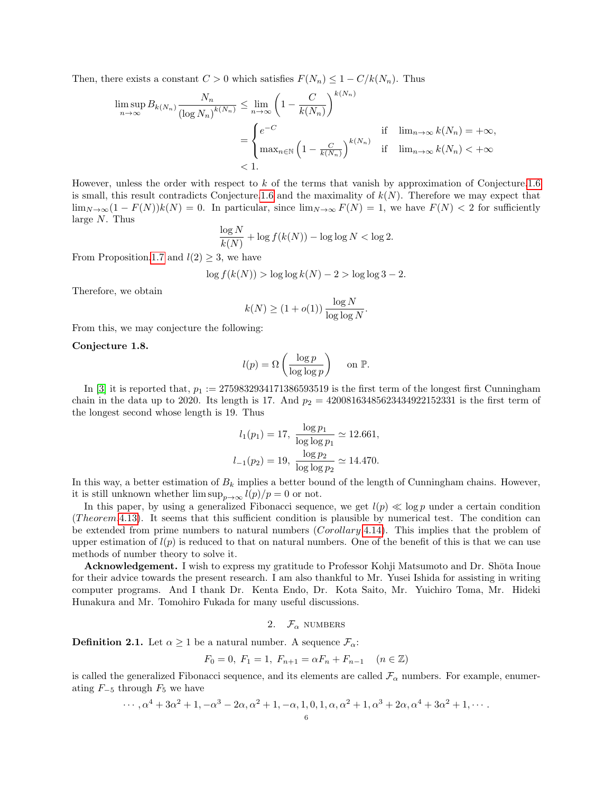Then, there exists a constant  $C > 0$  which satisfies  $F(N_n) \leq 1 - C/k(N_n)$ . Thus

$$
\limsup_{n \to \infty} B_{k(N_n)} \frac{N_n}{(\log N_n)^{k(N_n)}} \le \lim_{n \to \infty} \left( 1 - \frac{C}{k(N_n)} \right)^{k(N_n)}
$$
\n
$$
= \begin{cases}\n e^{-C} & \text{if } \lim_{n \to \infty} k(N_n) = +\infty, \\
\max_{n \in \mathbb{N}} \left( 1 - \frac{C}{k(N_n)} \right)^{k(N_n)} & \text{if } \lim_{n \to \infty} k(N_n) < +\infty \\
< 1.\n\end{cases}
$$

However, unless the order with respect to k of the terms that vanish by approximation of Conjecture[.1.6](#page-2-0) is small, this result contradicts Conjecture[.1.6](#page-2-0) and the maximality of  $k(N)$ . Therefore we may expect that  $\lim_{N\to\infty}(1 - F(N))k(N) = 0$ . In particular, since  $\lim_{N\to\infty} F(N) = 1$ , we have  $F(N) < 2$  for sufficiently large  $N$ . Thus

$$
\frac{\log N}{k(N)} + \log f(k(N)) - \log \log N < \log 2.
$$

From Proposition[.1.7](#page-2-1) and  $l(2) \geq 3$ , we have

$$
\log f(k(N)) > \log \log k(N) - 2 > \log \log 3 - 2.
$$

Therefore, we obtain

$$
k(N) \ge (1 + o(1)) \frac{\log N}{\log \log N}.
$$

From this, we may conjecture the following:

## <span id="page-5-0"></span>Conjecture 1.8.

$$
l(p) = \Omega\left(\frac{\log p}{\log \log p}\right) \quad \text{ on } \mathbb{P}.
$$

In [\[3\]](#page-17-12) it is reported that,  $p_1 := 2759832934171386593519$  is the first term of the longest first Cunningham chain in the data up to 2020. Its length is 17. And  $p_2 = 42008163485623434922152331$  is the first term of the longest second whose length is 19. Thus

$$
l_1(p_1) = 17, \ \frac{\log p_1}{\log \log p_1} \simeq 12.661,
$$
  

$$
l_{-1}(p_2) = 19, \ \frac{\log p_2}{\log \log p_2} \simeq 14.470.
$$

In this way, a better estimation of  $B_k$  implies a better bound of the length of Cunningham chains. However, it is still unknown whether  $\limsup_{p\to\infty} l(p)/p = 0$  or not.

In this paper, by using a generalized Fibonacci sequence, we get  $l(p) \ll \log p$  under a certain condition  $(Theorem .4.13).$  $(Theorem .4.13).$  $(Theorem .4.13).$  It seems that this sufficient condition is plausible by numerical test. The condition can be extended from prime numbers to natural numbers (*Corollary.4.14*). This implies that the problem of upper estimation of  $l(p)$  is reduced to that on natural numbers. One of the benefit of this is that we can use methods of number theory to solve it.

Acknowledgement. I wish to express my gratitude to Professor Kohji Matsumoto and Dr. Shōta Inoue for their advice towards the present research. I am also thankful to Mr. Yusei Ishida for assisting in writing computer programs. And I thank Dr. Kenta Endo, Dr. Kota Saito, Mr. Yuichiro Toma, Mr. Hideki Hunakura and Mr. Tomohiro Fukada for many useful discussions.

2. 
$$
\mathcal{F}_{\alpha}
$$
 NUMBERS

**Definition 2.1.** Let  $\alpha \geq 1$  be a natural number. A sequence  $\mathcal{F}_{\alpha}$ :

$$
F_0 = 0, F_1 = 1, F_{n+1} = \alpha F_n + F_{n-1} \quad (n \in \mathbb{Z})
$$

is called the generalized Fibonacci sequence, and its elements are called  $\mathcal{F}_{\alpha}$  numbers. For example, enumerating  $F_{-5}$  through  $F_5$  we have

$$
\cdots, \alpha^4 + 3\alpha^2 + 1, -\alpha^3 - 2\alpha, \alpha^2 + 1, -\alpha, 1, 0, 1, \alpha, \alpha^2 + 1, \alpha^3 + 2\alpha, \alpha^4 + 3\alpha^2 + 1, \cdots
$$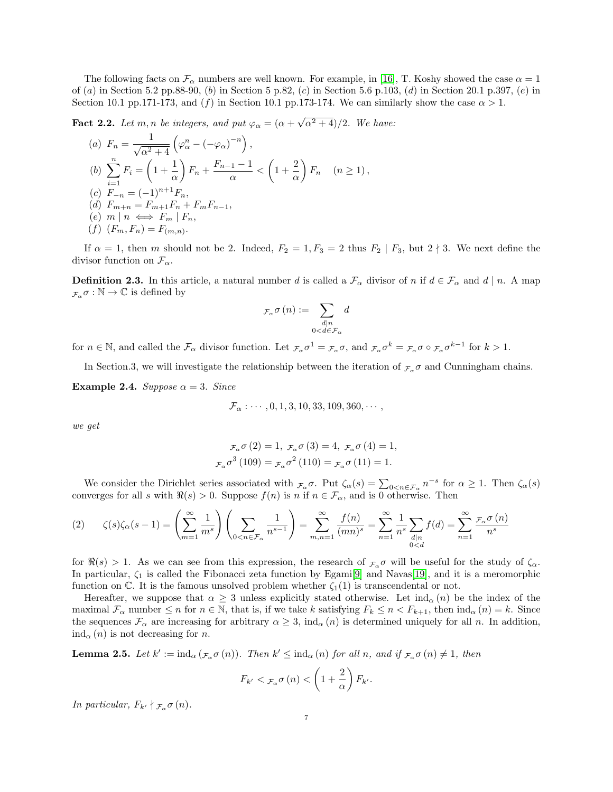The following facts on  $\mathcal{F}_{\alpha}$  numbers are well known. For example, in [\[16\]](#page-17-13), T. Koshy showed the case  $\alpha = 1$ of (a) in Section 5.2 pp.88-90, (b) in Section 5 p.82, (c) in Section 5.6 p.103, (d) in Section 20.1 p.397, (e) in Section 10.1 pp.171-173, and (f) in Section 10.1 pp.173-174. We can similarly show the case  $\alpha > 1$ .

<span id="page-6-0"></span>**Fact 2.2.** Let m, n be integers, and put  $\varphi_{\alpha} = (\alpha + \alpha)^{2}$  $\sqrt{\alpha^2+4}/2$ . We have:

(a) 
$$
F_n = \frac{1}{\sqrt{\alpha^2 + 4}} \left( \varphi_{\alpha}^n - (-\varphi_{\alpha})^{-n} \right),
$$
  
\n(b)  $\sum_{i=1}^n F_i = \left( 1 + \frac{1}{\alpha} \right) F_n + \frac{F_{n-1} - 1}{\alpha} < \left( 1 + \frac{2}{\alpha} \right) F_n \quad (n \ge 1),$   
\n(c)  $F_{-n} = (-1)^{n+1} F_n,$   
\n(d)  $F_{m+n} = F_{m+1} F_n + F_m F_{n-1},$   
\n(e)  $m \mid n \iff F_m \mid F_n,$   
\n(f)  $(F_m, F_n) = F_{(m,n)}.$ 

If  $\alpha = 1$ , then m should not be 2. Indeed,  $F_2 = 1, F_3 = 2$  thus  $F_2 \mid F_3$ , but  $2 \nmid 3$ . We next define the divisor function on  $\mathcal{F}_{\alpha}$ .

**Definition 2.3.** In this article, a natural number d is called a  $\mathcal{F}_{\alpha}$  divisor of n if  $d \in \mathcal{F}_{\alpha}$  and  $d | n$ . A map  $\mathcal{F}_{\alpha} \sigma : \mathbb{N} \to \mathbb{C}$  is defined by

$$
\mathcal{F}_{\alpha} \sigma\left(n\right) := \sum_{\substack{d \mid n \\ 0 < d \in \mathcal{F}_{\alpha}}} d
$$

for  $n \in \mathbb{N}$ , and called the  $\mathcal{F}_{\alpha}$  divisor function. Let  $_{\mathcal{F}_{\alpha}} \sigma^1 = _{\mathcal{F}_{\alpha}} \sigma$ , and  $_{\mathcal{F}_{\alpha}} \sigma^k = _{\mathcal{F}_{\alpha}} \sigma \circ _{\mathcal{F}_{\alpha}} \sigma^{k-1}$  for  $k > 1$ .

In Section.3, we will investigate the relationship between the iteration of  $_{\mathcal{F}_{\alpha}}\sigma$  and Cunningham chains.

Example 2.4. Suppose  $\alpha = 3$ . Since

$$
\mathcal{F}_{\alpha}: \cdots, 0, 1, 3, 10, 33, 109, 360, \cdots,
$$

we get

$$
\mathcal{F}_{\alpha}\sigma(2) = 1
$$
,  $\mathcal{F}_{\alpha}\sigma(3) = 4$ ,  $\mathcal{F}_{\alpha}\sigma(4) = 1$ ,  
 $\mathcal{F}_{\alpha}\sigma^{3}(109) = \mathcal{F}_{\alpha}\sigma^{2}(110) = \mathcal{F}_{\alpha}\sigma(11) = 1$ .

We consider the Dirichlet series associated with  $\mathcal{F}_{\alpha} \sigma$ . Put  $\zeta_{\alpha}(s) = \sum_{0 \leq n \in \mathcal{F}_{\alpha}} n^{-s}$  for  $\alpha \geq 1$ . Then  $\zeta_{\alpha}(s)$ converges for all s with  $\Re(s) > 0$ . Suppose  $f(n)$  is n if  $n \in \mathcal{F}_{\alpha}$ , and is 0 otherwise. Then

<span id="page-6-2"></span>
$$
(2) \qquad \zeta(s)\zeta_{\alpha}(s-1) = \left(\sum_{m=1}^{\infty} \frac{1}{m^s}\right)\left(\sum_{0 < n \in \mathcal{F}_{\alpha}} \frac{1}{n^{s-1}}\right) = \sum_{m,n=1}^{\infty} \frac{f(n)}{(mn)^s} = \sum_{n=1}^{\infty} \frac{1}{n^s} \sum_{\substack{d|n\\0 < d}} f(d) = \sum_{n=1}^{\infty} \frac{\mathcal{F}_{\alpha} \sigma(n)}{n^s}
$$

for  $\Re(s) > 1$ . As we can see from this expression, the research of  $\mathcal{F}_{\alpha}$  or will be useful for the study of  $\zeta_{\alpha}$ . In particular,  $\zeta_1$  is called the Fibonacci zeta function by Egami<sup>[\[9\]](#page-17-14)</sup> and Navas<sup>[\[19\]](#page-17-15)</sup>, and it is a meromorphic function on  $\mathbb{C}$ . It is the famous unsolved problem whether  $\zeta_1(1)$  is transcendental or not.

Hereafter, we suppose that  $\alpha \geq 3$  unless explicitly stated otherwise. Let  $\text{ind}_{\alpha}(n)$  be the index of the maximal  $\mathcal{F}_{\alpha}$  number  $\leq n$  for  $n \in \mathbb{N}$ , that is, if we take k satisfying  $F_k \leq n < F_{k+1}$ , then  $\text{ind}_{\alpha}(n) = k$ . Since the sequences  $\mathcal{F}_{\alpha}$  are increasing for arbitrary  $\alpha \geq 3$ , ind<sub> $\alpha$ </sub> (n) is determined uniquely for all n. In addition,  $ind_{\alpha}(n)$  is not decreasing for n.

<span id="page-6-1"></span>**Lemma 2.5.** Let  $k' := \text{ind}_{\alpha} (\mathcal{F}_{\alpha} \sigma(n))$ . Then  $k' \leq \text{ind}_{\alpha}(n)$  for all n, and if  $\mathcal{F}_{\alpha} \sigma(n) \neq 1$ , then

$$
F_{k'} < \mathcal{F}_{\alpha} \sigma\left(n\right) < \left(1 + \frac{2}{\alpha}\right) F_{k'}.
$$

In particular,  $F_{k'} \nmid \mathcal{F}_{\alpha} \sigma(n)$ .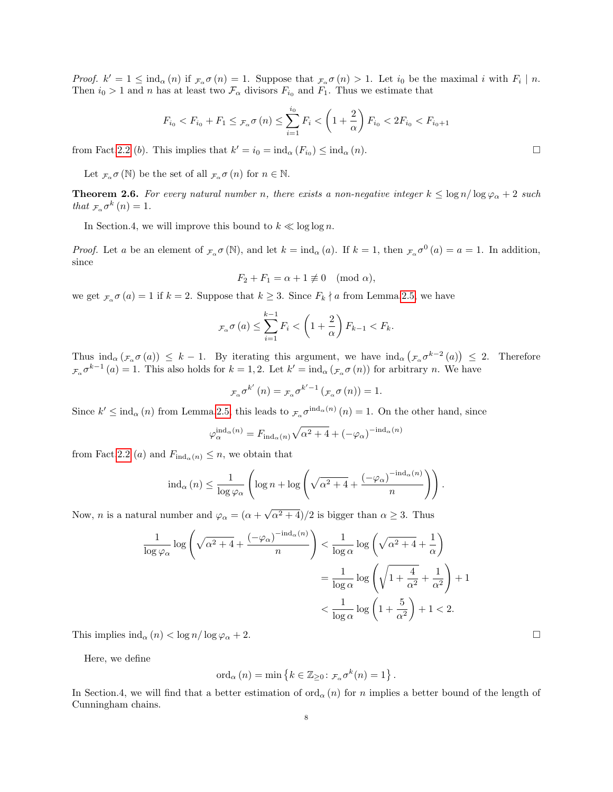Proof.  $k' = 1 \leq \text{ind}_{\alpha}(n)$  if  $\mathcal{F}_{\alpha} \sigma(n) = 1$ . Suppose that  $\mathcal{F}_{\alpha} \sigma(n) > 1$ . Let  $i_0$  be the maximal i with  $F_i \mid n$ . Then  $i_0 > 1$  and n has at least two  $\mathcal{F}_{\alpha}$  divisors  $F_{i_0}$  and  $F_1$ . Thus we estimate that

$$
F_{i_0} < F_{i_0} + F_1 \leq \tau_\alpha \sigma(n) \leq \sum_{i=1}^{i_0} F_i < \left(1 + \frac{2}{\alpha}\right) F_{i_0} < 2F_{i_0} < F_{i_0 + 1}
$$

from Fact[.2.2](#page-6-0) (b). This implies that  $k' = i_0 = \text{ind}_{\alpha}(F_{i_0}) \leq \text{ind}_{\alpha}(n)$ .

Let  $_{\mathcal{F}_{\alpha}} \sigma(\mathbb{N})$  be the set of all  $_{\mathcal{F}_{\alpha}} \sigma(n)$  for  $n \in \mathbb{N}$ .

<span id="page-7-0"></span>**Theorem 2.6.** For every natural number n, there exists a non-negative integer  $k \leq \log n / \log \varphi_{\alpha} + 2$  such that  $\mathcal{F}_{\alpha} \sigma^k(n) = 1$ .

In Section.4, we will improve this bound to  $k \ll \log \log n$ .

*Proof.* Let a be an element of  $\mathcal{F}_{\alpha} \sigma(\mathbb{N})$ , and let  $k = \text{ind}_{\alpha}(a)$ . If  $k = 1$ , then  $\mathcal{F}_{\alpha} \sigma^{0}(a) = a = 1$ . In addition, since

$$
F_2 + F_1 = \alpha + 1 \not\equiv 0 \pmod{\alpha},
$$

we get  $\mathcal{F}_{\alpha} \sigma(a) = 1$  if  $k = 2$ . Suppose that  $k \geq 3$ . Since  $F_k \nmid a$  from Lemma. 2.5, we have

$$
_{\mathcal{F}_{\alpha}}\sigma\left(a\right) \leq \sum_{i=1}^{k-1} F_{i} < \left(1 + \frac{2}{\alpha}\right) F_{k-1} < F_{k}.
$$

Thus  $\text{ind}_{\alpha}(\mathcal{F}_{\alpha} \sigma(a)) \leq k-1$ . By iterating this argument, we have  $\text{ind}_{\alpha}(\mathcal{F}_{\alpha} \sigma^{k-2}(a)) \leq 2$ . Therefore  $\mathcal{F}_{\alpha} \sigma^{k-1}(a) = 1$ . This also holds for  $k = 1, 2$ . Let  $k' = \text{ind}_{\alpha} (\mathcal{F}_{\alpha} \sigma(n))$  for arbitrary n. We have

$$
F_{\alpha} \sigma^{k'}\left(n\right) = F_{\alpha} \sigma^{k'-1}\left(f_{\alpha} \sigma\left(n\right)\right) = 1.
$$

Since  $k' \leq \text{ind}_{\alpha}(n)$  from Lemma[.2.5,](#page-6-1) this leads to  $_{\mathcal{F}_{\alpha}} \sigma^{\text{ind}_{\alpha}(n)}(n) = 1$ . On the other hand, since

$$
\varphi_{\alpha}^{\mathrm{ind}_{\alpha}(n)} = F_{\mathrm{ind}_{\alpha}(n)} \sqrt{\alpha^2 + 4} + (-\varphi_{\alpha})^{-\mathrm{ind}_{\alpha}(n)}
$$

from Fact[.2.2](#page-6-0) (a) and  $F_{ind_{\alpha}(n)} \leq n$ , we obtain that

$$
\mathrm{ind}_{\alpha}(n) \leq \frac{1}{\log \varphi_{\alpha}} \left( \log n + \log \left( \sqrt{\alpha^2 + 4} + \frac{(-\varphi_{\alpha})^{-\mathrm{ind}_{\alpha}(n)}}{n} \right) \right).
$$

Now, *n* is a natural number and  $\varphi_{\alpha} = (\alpha + \alpha)^{2}$  $\sqrt{\alpha^2+4}$ /2 is bigger than  $\alpha \geq 3$ . Thus

$$
\frac{1}{\log \varphi_{\alpha}} \log \left( \sqrt{\alpha^2 + 4} + \frac{(-\varphi_{\alpha})^{-\text{ind}_{\alpha}(n)}}{n} \right) < \frac{1}{\log \alpha} \log \left( \sqrt{\alpha^2 + 4} + \frac{1}{\alpha} \right)
$$

$$
= \frac{1}{\log \alpha} \log \left( \sqrt{1 + \frac{4}{\alpha^2}} + \frac{1}{\alpha^2} \right) + 1
$$

$$
< \frac{1}{\log \alpha} \log \left( 1 + \frac{5}{\alpha^2} \right) + 1 < 2.
$$

This implies  $\text{ind}_{\alpha}(n) < \log n / \log \varphi_{\alpha} + 2$ .

Here, we define

$$
\operatorname{ord}_{\alpha}(n) = \min \left\{ k \in \mathbb{Z}_{\geq 0} \colon \mathcal{F}_{\alpha} \sigma^{k}(n) = 1 \right\}.
$$

In Section.4, we will find that a better estimation of  $\text{ord}_{\alpha}(n)$  for n implies a better bound of the length of Cunningham chains.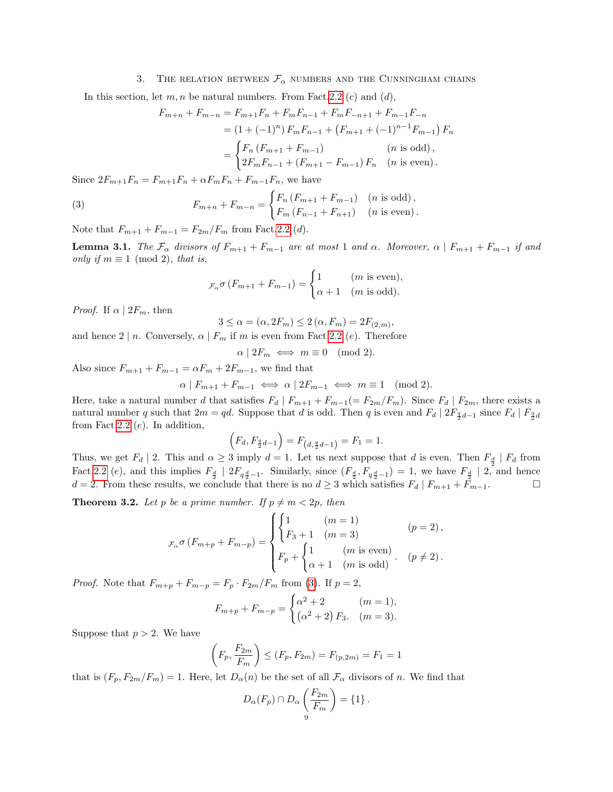# 3. THE RELATION BETWEEN  $\mathcal{F}_{\alpha}$  numbers and the Cunningham chains

In this section, let  $m, n$  be natural numbers. From Fact. 2.2 (c) and (d),

$$
F_{m+n} + F_{m-n} = F_{m+1}F_n + F_mF_{n-1} + F_mF_{-n+1} + F_{m-1}F_{-n}
$$
  
=  $(1 + (-1)^n) F_mF_{n-1} + (F_{m+1} + (-1)^{n-1}F_{m-1}) F_n$   
=  $\begin{cases} F_n (F_{m+1} + F_{m-1}) & (n \text{ is odd}), \\ 2F_mF_{n-1} + (F_{m+1} - F_{m-1}) F_n & (n \text{ is even}). \end{cases}$ 

Since  $2F_{m+1}F_n = F_{m+1}F_n + \alpha F_mF_n + F_{m-1}F_n$ , we have

<span id="page-8-0"></span>(3) 
$$
F_{m+n} + F_{m-n} = \begin{cases} F_n (F_{m+1} + F_{m-1}) & (n \text{ is odd}), \\ F_m (F_{n-1} + F_{n+1}) & (n \text{ is even}). \end{cases}
$$

Note that  $F_{m+1} + F_{m-1} = F_{2m}/F_m$  from Fact. 2.2 (*d*).

<span id="page-8-1"></span>**Lemma 3.1.** The  $\mathcal{F}_{\alpha}$  divisors of  $F_{m+1} + F_{m-1}$  are at most 1 and  $\alpha$ . Moreover,  $\alpha \mid F_{m+1} + F_{m-1}$  if and only if  $m \equiv 1 \pmod{2}$ , that is,

$$
F_{\alpha}\sigma(F_{m+1} + F_{m-1}) = \begin{cases} 1 & (m \text{ is even}), \\ \alpha + 1 & (m \text{ is odd}). \end{cases}
$$

*Proof.* If  $\alpha \mid 2F_m$ , then

$$
3 \leq \alpha = (\alpha, 2F_m) \leq 2(\alpha, F_m) = 2F_{(2,m)},
$$

and hence  $2 | n$ . Conversely,  $\alpha | F_m$  if m is even from Fact. 2.2 (e). Therefore

$$
\alpha \mid 2F_m \iff m \equiv 0 \pmod{2}.
$$

Also since  $F_{m+1} + F_{m-1} = \alpha F_m + 2F_{m-1}$ , we find that

$$
\alpha \mid F_{m+1} + F_{m-1} \iff \alpha \mid 2F_{m-1} \iff m \equiv 1 \pmod{2}.
$$

Here, take a natural number d that satisfies  $F_d | F_{m+1} + F_{m-1} (= F_{2m}/F_m)$ . Since  $F_d | F_{2m}$ , there exists a natural number q such that  $2m = qd$ . Suppose that d is odd. Then q is even and  $F_d | 2F_{\frac{q}{2}d-1}$  since  $F_d | F_{\frac{q}{2}d}$ from Fact. 2.2  $(e)$ . In addition,

$$
(F_d, F_{\frac{q}{2}d-1}) = F_{(d, \frac{q}{2}d-1)} = F_1 = 1.
$$

Thus, we get  $F_d \mid 2$ . This and  $\alpha \geq 3$  imply  $d = 1$ . Let us next suppose that d is even. Then  $F_{\frac{d}{a}} \mid F_d$  from Fact. 2.2 (e), and this implies  $F_{\frac{d}{2}}$  |  $2F_{q\frac{d}{2}-1}$ . Similarly, since  $(F_{\frac{d}{2}}, F_{q\frac{d}{2}-1}) = 1$ , we have  $F_{\frac{d}{2}}$  | 2, and hence  $d = 2$ . From these results, we conclude that there is no  $d \geq 3$  which satisfies  $F_d | F_{m+1} + \tilde{F}_{m-1}$ .

<span id="page-8-2"></span>**Theorem 3.2.** Let p be a prime number. If  $p \neq m < 2p$ , then

$$
\mathcal{F}_{\alpha} \sigma (F_{m+p} + F_{m-p}) = \begin{cases} \begin{cases} 1 & (m = 1) \\ F_3 + 1 & (m = 3) \end{cases} & (p = 2), \\ F_p + \begin{cases} 1 & (m \text{ is even}) \\ \alpha + 1 & (m \text{ is odd}) \end{cases} & (p \neq 2). \end{cases}
$$

*Proof.* Note that  $F_{m+p} + F_{m-p} = F_p \cdot F_{2m}/F_m$  from [\(3\)](#page-8-0). If  $p = 2$ ,

$$
F_{m+p} + F_{m-p} = \begin{cases} \alpha^2 + 2 & (m = 1), \\ (\alpha^2 + 2) F_3 & (m = 3). \end{cases}
$$

Suppose that  $p > 2$ . We have

$$
\left(F_p, \frac{F_{2m}}{F_m}\right) \le (F_p, F_{2m}) = F_{(p, 2m)} = F_1 = 1
$$

that is  $(F_p, F_{2m}/F_m) = 1$ . Here, let  $D_\alpha(n)$  be the set of all  $\mathcal{F}_\alpha$  divisors of n. We find that

$$
D_{\alpha}(F_p) \cap D_{\alpha}\left(\frac{F_{2m}}{F_m}\right) = \{1\}.
$$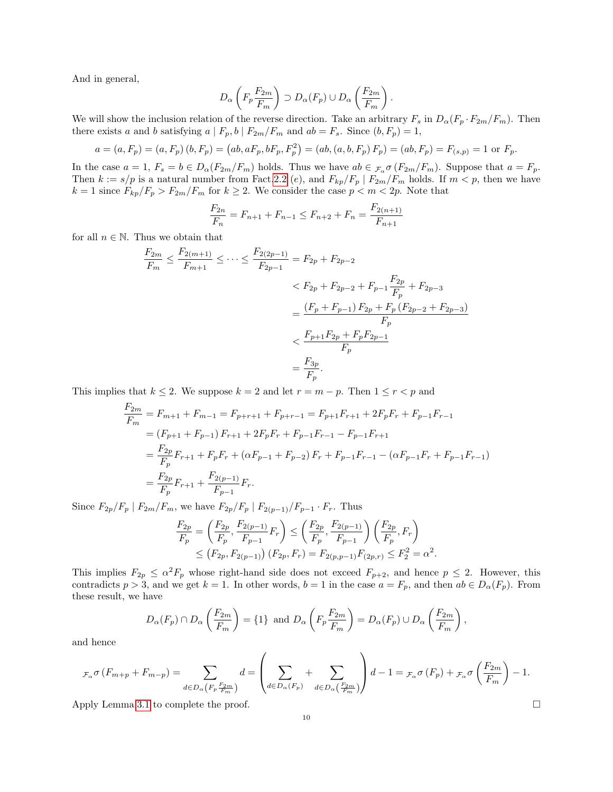And in general,

$$
D_{\alpha}\left(F_p \frac{F_{2m}}{F_m}\right) \supset D_{\alpha}(F_p) \cup D_{\alpha}\left(\frac{F_{2m}}{F_m}\right).
$$

We will show the inclusion relation of the reverse direction. Take an arbitrary  $F_s$  in  $D_\alpha (F_p \cdot F_{2m}/F_m)$ . Then there exists a and b satisfying  $a | F_p, b | F_{2m}/F_m$  and  $ab = F_s$ . Since  $(b, F_p) = 1$ ,

$$
a = (a, F_p) = (a, F_p) (b, F_p) = (ab, aF_p, bF_p, F_p^2) = (ab, (a, b, F_p) F_p) = (ab, F_p) = F_{(s,p)} = 1 \text{ or } F_p.
$$

In the case  $a = 1$ ,  $F_s = b \in D_\alpha(F_{2m}/F_m)$  holds. Thus we have  $ab \in \mathcal{F}_s$   $\sigma(F_{2m}/F_m)$ . Suppose that  $a = F_p$ . Then  $k := s/p$  is a natural number from Fact. 2.2 (e), and  $F_{kp}/F_p \mid F_{2m}/F_m$  holds. If  $m < p$ , then we have  $k = 1$  since  $F_{kp}/F_p > F_{2m}/F_m$  for  $k \ge 2$ . We consider the case  $p < m < 2p$ . Note that

$$
\frac{F_{2n}}{F_n} = F_{n+1} + F_{n-1} \le F_{n+2} + F_n = \frac{F_{2(n+1)}}{F_{n+1}}
$$

for all  $n \in \mathbb{N}$ . Thus we obtain that

$$
\frac{F_{2m}}{F_m} \le \frac{F_{2(m+1)}}{F_{m+1}} \le \dots \le \frac{F_{2(2p-1)}}{F_{2p-1}} = F_{2p} + F_{2p-2}
$$
\n
$$
< F_{2p} + F_{2p-2} + F_{p-1} \frac{F_{2p}}{F_p} + F_{2p-3}
$$
\n
$$
= \frac{(F_p + F_{p-1}) F_{2p} + F_p (F_{2p-2} + F_{2p-3})}{F_p}
$$
\n
$$
< \frac{F_{p+1} F_{2p} + F_p F_{2p-1}}{F_p}
$$
\n
$$
= \frac{F_{3p}}{F_p}.
$$

This implies that  $k \leq 2$ . We suppose  $k = 2$  and let  $r = m - p$ . Then  $1 \leq r < p$  and

$$
\frac{F_{2m}}{F_m} = F_{m+1} + F_{m-1} = F_{p+r+1} + F_{p+r-1} = F_{p+1}F_{r+1} + 2F_pF_r + F_{p-1}F_{r-1}
$$
  
=  $(F_{p+1} + F_{p-1}) F_{r+1} + 2F_pF_r + F_{p-1}F_{r-1} - F_{p-1}F_{r+1}$   
=  $\frac{F_{2p}}{F_p}F_{r+1} + F_pF_r + (\alpha F_{p-1} + F_{p-2}) F_r + F_{p-1}F_{r-1} - (\alpha F_{p-1}F_r + F_{p-1}F_{r-1})$   
=  $\frac{F_{2p}}{F_p}F_{r+1} + \frac{F_{2(p-1)}}{F_{p-1}}F_r.$ 

Since  $F_{2p}/F_p \mid F_{2m}/F_m$ , we have  $F_{2p}/F_p \mid F_{2(p-1)}/F_{p-1} \cdot F_r$ . Thus

$$
\frac{F_{2p}}{F_p} = \left(\frac{F_{2p}}{F_p}, \frac{F_{2(p-1)}}{F_{p-1}} F_r\right) \le \left(\frac{F_{2p}}{F_p}, \frac{F_{2(p-1)}}{F_{p-1}}\right) \left(\frac{F_{2p}}{F_p}, F_r\right)
$$
  

$$
\le \left(F_{2p}, F_{2(p-1)}\right) \left(F_{2p}, F_r\right) = F_{2(p,p-1)} F_{(2p,r)} \le F_2^2 = \alpha^2.
$$

This implies  $F_{2p} \leq \alpha^2 F_p$  whose right-hand side does not exceed  $F_{p+2}$ , and hence  $p \leq 2$ . However, this contradicts  $p > 3$ , and we get  $k = 1$ . In other words,  $b = 1$  in the case  $a = F_p$ , and then  $ab \in D_\alpha(F_p)$ . From these result, we have

$$
D_{\alpha}(F_p) \cap D_{\alpha}\left(\frac{F_{2m}}{F_m}\right) = \{1\} \text{ and } D_{\alpha}\left(F_p \frac{F_{2m}}{F_m}\right) = D_{\alpha}(F_p) \cup D_{\alpha}\left(\frac{F_{2m}}{F_m}\right),
$$

 $\lambda$ 

and hence

$$
_{\mathcal{F}_{\alpha}}\sigma\left(F_{m+p}+F_{m-p}\right)=\sum_{d\in D_{\alpha}\left(F_{p}\frac{F_{2m}}{F_{m}}\right)}d=\left(\sum_{d\in D_{\alpha}\left(F_{p}\right)}+\sum_{d\in D_{\alpha}\left(\frac{F_{2m}}{F_{m}}\right)}\right)d-1={}_{\mathcal{F}_{\alpha}}\sigma\left(F_{p}\right)+{}_{\mathcal{F}_{\alpha}}\sigma\left(\frac{F_{2m}}{F_{m}}\right)-1.
$$

Apply Lemma[.3.1](#page-8-1) to complete the proof.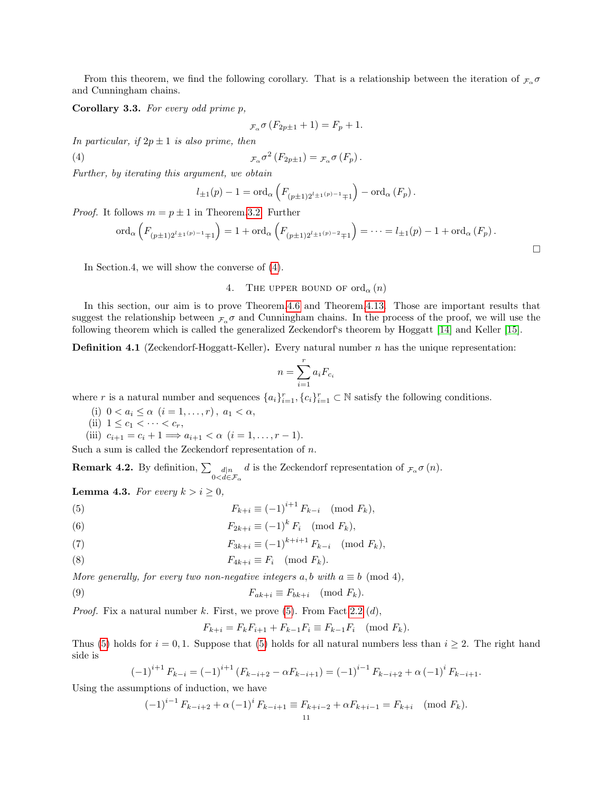From this theorem, we find the following corollary. That is a relationship between the iteration of  $\mathcal{F}_{\alpha} \sigma$ and Cunningham chains.

<span id="page-10-7"></span>Corollary 3.3. For every odd prime p,

$$
F_{\alpha}\sigma(F_{2p\pm 1}+1) = F_p + 1.
$$

In particular, if  $2p \pm 1$  is also prime, then

<span id="page-10-0"></span>(4) 
$$
\tau_{\alpha} \sigma^2 \left( F_{2p \pm 1} \right) = \tau_{\alpha} \sigma \left( F_p \right).
$$

Further, by iterating this argument, we obtain

$$
l_{\pm 1}(p) - 1 = \text{ord}_{\alpha} \left( F_{(p \pm 1)2^{l_{\pm 1}(p)-1} \mp 1} \right) - \text{ord}_{\alpha} \left( F_p \right).
$$

*Proof.* It follows  $m = p \pm 1$  in Theorem[.3.2.](#page-8-2) Further

$$
\text{ord}_{\alpha}\left(F_{(p\pm 1)2^{l_{\pm 1}(p)}-1_{\mp 1}}\right) = 1 + \text{ord}_{\alpha}\left(F_{(p\pm 1)2^{l_{\pm 1}(p)}-2_{\mp 1}}\right) = \dots = l_{\pm 1}(p) - 1 + \text{ord}_{\alpha}\left(F_p\right).
$$

In Section.4, we will show the converse of [\(4\)](#page-10-0).

# 4. THE UPPER BOUND OF  $\text{ord}_{\alpha}(n)$

In this section, our aim is to prove Theorem[.4.6](#page-12-0) and Theorem[.4.13.](#page-16-0) Those are important results that suggest the relationship between  $\mathcal{F}_{\alpha} \sigma$  and Cunningham chains. In the process of the proof, we will use the following theorem which is called the generalized Zeckendorf's theorem by Hoggatt [\[14\]](#page-17-16) and Keller [\[15\]](#page-17-17).

**Definition 4.1** (Zeckendorf-Hoggatt-Keller). Every natural number  $n$  has the unique representation:

$$
n = \sum_{i=1}^{r} a_i F_{c_i}
$$

where r is a natural number and sequences  $\{a_i\}_{i=1}^r$ ,  $\{c_i\}_{i=1}^r \subset \mathbb{N}$  satisfy the following conditions.

- (i)  $0 < a_i \leq \alpha$   $(i = 1, ..., r), a_1 < \alpha$ ,
- (ii)  $1 \le c_1 < \cdots < c_r$ ,

(iii)  $c_{i+1} = c_i + 1 \Longrightarrow a_{i+1} < \alpha \ (i = 1, \ldots, r-1).$ 

Such a sum is called the Zeckendorf representation of  $n$ .

**Remark 4.2.** By definition,  $\sum_{0 \le d \in \mathcal{F}_{\alpha}} d$  is the Zeckendorf representation of  $_{\mathcal{F}_{\alpha}} \sigma(n)$ .

<span id="page-10-6"></span>**Lemma 4.3.** For every  $k > i \geq 0$ ,

<span id="page-10-1"></span>(5) 
$$
F_{k+i} \equiv (-1)^{i+1} F_{k-i} \pmod{F_k},
$$

<span id="page-10-2"></span>(6) 
$$
F_{2k+i} \equiv (-1)^k F_i \pmod{F_k},
$$

<span id="page-10-3"></span>(7) 
$$
F_{3k+i} \equiv (-1)^{k+i+1} F_{k-i} \pmod{F_k},
$$

<span id="page-10-4"></span>
$$
(8) \tF_{4k+i} \equiv F_i \pmod{F_k}.
$$

More generally, for every two non-negative integers a, b with  $a \equiv b \pmod{4}$ ,

<span id="page-10-5"></span>(9) 
$$
F_{ak+i} \equiv F_{bk+i} \pmod{F_k}.
$$

*Proof.* Fix a natural number k. First, we prove  $(5)$ . From Fact. 2.2  $(d)$ ,

$$
F_{k+i} = F_k F_{i+1} + F_{k-1} F_i \equiv F_{k-1} F_i \pmod{F_k}.
$$

Thus [\(5\)](#page-10-1) holds for  $i = 0, 1$ . Suppose that (5) holds for all natural numbers less than  $i \geq 2$ . The right hand side is

$$
(-1)^{i+1} F_{k-i} = (-1)^{i+1} (F_{k-i+2} - \alpha F_{k-i+1}) = (-1)^{i-1} F_{k-i+2} + \alpha (-1)^{i} F_{k-i+1}.
$$

Using the assumptions of induction, we have

$$
(-1)^{i-1} F_{k-i+2} + \alpha (-1)^i F_{k-i+1} \equiv F_{k+i-2} + \alpha F_{k+i-1} = F_{k+i} \pmod{F_k}.
$$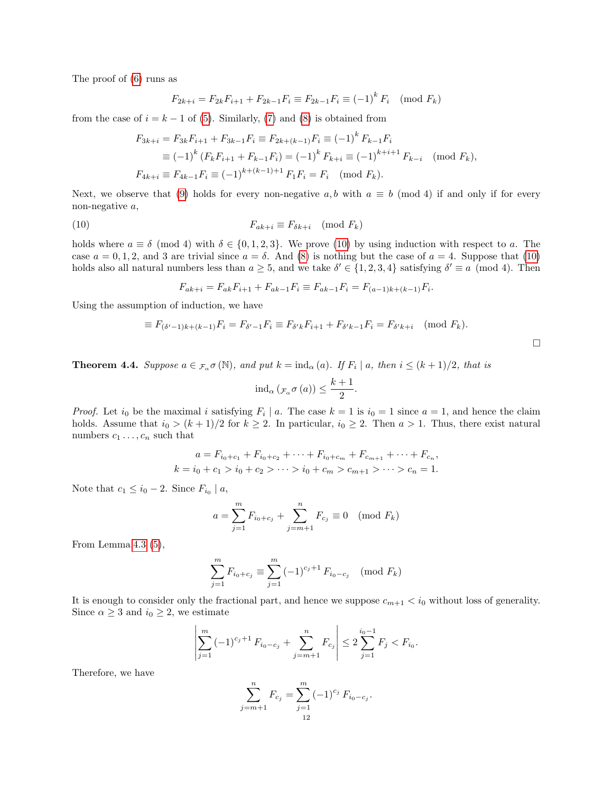The proof of [\(6\)](#page-10-2) runs as

$$
F_{2k+i} = F_{2k}F_{i+1} + F_{2k-1}F_i \equiv F_{2k-1}F_i \equiv (-1)^k F_i \pmod{F_k}
$$

from the case of  $i = k - 1$  of [\(5\)](#page-10-1). Similarly, [\(7\)](#page-10-3) and [\(8\)](#page-10-4) is obtained from

$$
F_{3k+i} = F_{3k}F_{i+1} + F_{3k-1}F_i \equiv F_{2k+(k-1)}F_i \equiv (-1)^k F_{k-1}F_i
$$
  
\n
$$
\equiv (-1)^k (F_kF_{i+1} + F_{k-1}F_i) = (-1)^k F_{k+i} \equiv (-1)^{k+i+1} F_{k-i} \pmod{F_k},
$$
  
\n
$$
F_{4k+i} \equiv F_{4k-1}F_i \equiv (-1)^{k+(k-1)+1} F_1F_i = F_i \pmod{F_k}.
$$

Next, we observe that [\(9\)](#page-10-5) holds for every non-negative a, b with  $a \equiv b \pmod{4}$  if and only if for every non-negative a,

<span id="page-11-0"></span>
$$
F_{ak+i} \equiv F_{\delta k+i} \pmod{F_k}
$$

holds where  $a \equiv \delta \pmod{4}$  with  $\delta \in \{0, 1, 2, 3\}$ . We prove [\(10\)](#page-11-0) by using induction with respect to a. The case  $a = 0, 1, 2$ , and 3 are trivial since  $a = \delta$ . And [\(8\)](#page-10-4) is nothing but the case of  $a = 4$ . Suppose that [\(10\)](#page-11-0) holds also all natural numbers less than  $a \geq 5$ , and we take  $\delta' \in \{1, 2, 3, 4\}$  satisfying  $\delta' \equiv a \pmod{4}$ . Then

$$
F_{ak+i} = F_{ak}F_{i+1} + F_{ak-1}F_i \equiv F_{ak-1}F_i = F_{(a-1)k + (k-1)}F_i
$$

Using the assumption of induction, we have

$$
\equiv F_{(\delta'-1)k + (k-1)}F_i = F_{\delta'-1}F_i \equiv F_{\delta'k}F_{i+1} + F_{\delta'k-1}F_i = F_{\delta'k+i} \pmod{F_k}.
$$

.

<span id="page-11-1"></span>**Theorem 4.4.** Suppose  $a \in \mathcal{F}_{\alpha}$   $\sigma(\mathbb{N})$ , and put  $k = \text{ind}_{\alpha}(a)$ . If  $F_i | a$ , then  $i \leq (k+1)/2$ , that is

$$
ind_{\alpha} (\mathcal{F}_{\alpha} \sigma (a)) \leq \frac{k+1}{2}.
$$

*Proof.* Let  $i_0$  be the maximal i satisfying  $F_i \mid a$ . The case  $k = 1$  is  $i_0 = 1$  since  $a = 1$ , and hence the claim holds. Assume that  $i_0 > (k+1)/2$  for  $k \ge 2$ . In particular,  $i_0 \ge 2$ . Then  $a > 1$ . Thus, there exist natural numbers  $c_1 \ldots, c_n$  such that

$$
a = F_{i_0+c_1} + F_{i_0+c_2} + \dots + F_{i_0+c_m} + F_{c_{m+1}} + \dots + F_{c_n},
$$
  

$$
k = i_0 + c_1 > i_0 + c_2 > \dots > i_0 + c_m > c_{m+1} > \dots > c_n = 1.
$$

Note that  $c_1 \leq i_0 - 2$ . Since  $F_{i_0} \mid a$ ,

$$
a = \sum_{j=1}^{m} F_{i_0 + c_j} + \sum_{j=m+1}^{n} F_{c_j} \equiv 0 \pmod{F_k}
$$

From Lemma[.4.3](#page-10-6)  $(5)$ ,

$$
\sum_{j=1}^{m} F_{i_0+c_j} \equiv \sum_{j=1}^{m} (-1)^{c_j+1} F_{i_0-c_j} \pmod{F_k}
$$

It is enough to consider only the fractional part, and hence we suppose  $c_{m+1} < i_0$  without loss of generality. Since  $\alpha \geq 3$  and  $i_0 \geq 2$ , we estimate

$$
\left| \sum_{j=1}^m (-1)^{c_j+1} F_{i_0-c_j} + \sum_{j=m+1}^n F_{c_j} \right| \le 2 \sum_{j=1}^{i_0-1} F_j < F_{i_0}.
$$

Therefore, we have

$$
\sum_{j=m+1}^{n} F_{c_j} = \sum_{j=1}^{m} (-1)^{c_j} F_{i_0 - c_j}.
$$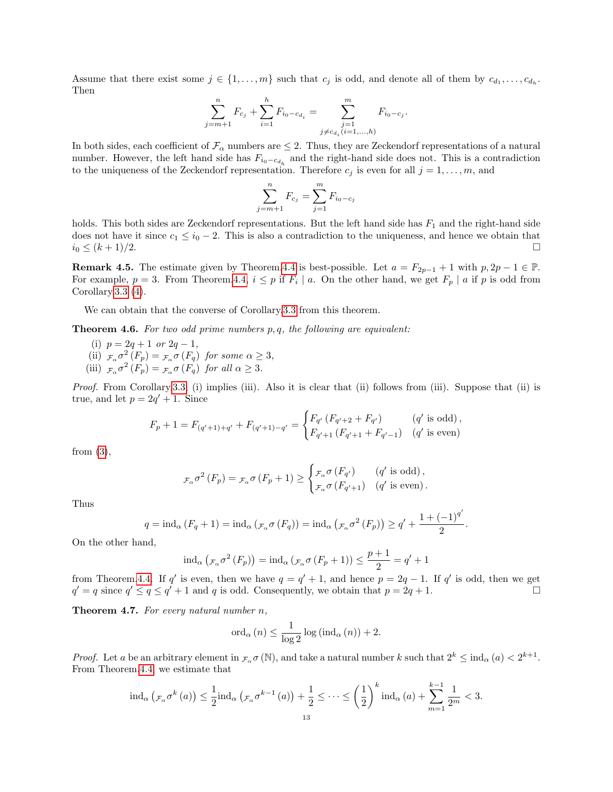Assume that there exist some  $j \in \{1, \ldots, m\}$  such that  $c_j$  is odd, and denote all of them by  $c_{d_1}, \ldots, c_{d_h}$ . Then

$$
\sum_{j=m+1}^{n} F_{c_j} + \sum_{i=1}^{h} F_{i_0 - c_{d_i}} = \sum_{\substack{j=1 \ j \neq c_{d_i} (i=1,...,h)}}^{m} F_{i_0 - c_j}.
$$

In both sides, each coefficient of  $\mathcal{F}_{\alpha}$  numbers are  $\leq 2$ . Thus, they are Zeckendorf representations of a natural number. However, the left hand side has  $F_{i_0-c_{d_h}}$  and the right-hand side does not. This is a contradiction to the uniqueness of the Zeckendorf representation. Therefore  $c_j$  is even for all  $j = 1, \ldots, m$ , and

$$
\sum_{j=m+1}^{n} F_{c_j} = \sum_{j=1}^{m} F_{i_0 - c_j}
$$

holds. This both sides are Zeckendorf representations. But the left hand side has  $F_1$  and the right-hand side does not have it since  $c_1 \leq i_0 - 2$ . This is also a contradiction to the uniqueness, and hence we obtain that  $i_0 \leq (k+1)/2.$ 

**Remark 4.5.** The estimate given by Theorem[.4.4](#page-11-1) is best-possible. Let  $a = F_{2p-1} + 1$  with  $p, 2p - 1 \in \mathbb{P}$ . For example,  $p = 3$ . From Theorem[.4.4,](#page-11-1)  $i \leq p$  if  $F_i \mid a$ . On the other hand, we get  $F_p \mid a$  if p is odd from Corollary[.3.3](#page-10-7) [\(4\)](#page-10-0).

We can obtain that the converse of Corollary[.3.3](#page-10-7) from this theorem.

<span id="page-12-0"></span>**Theorem 4.6.** For two odd prime numbers  $p, q$ , the following are equivalent:

(i)  $p = 2q + 1$  or  $2q - 1$ , (ii)  $\mathcal{F}_{\alpha} \sigma^2(F_p) = \mathcal{F}_{\alpha} \sigma(F_q)$  for some  $\alpha \geq 3$ , (iii)  $\mathcal{F}_{\alpha} \sigma^2(F_p) = \mathcal{F}_{\alpha} \sigma(F_q)$  for all  $\alpha \geq 3$ .

Proof. From Corollary[.3.3,](#page-10-7) (i) implies (iii). Also it is clear that (ii) follows from (iii). Suppose that (ii) is true, and let  $p = 2q' + 1$ . Since

$$
F_p + 1 = F_{(q'+1)+q'} + F_{(q'+1)-q'} = \begin{cases} F_{q'} (F_{q'+2} + F_{q'}) & (q' \text{ is odd}), \\ F_{q'+1} (F_{q'+1} + F_{q'-1}) & (q' \text{ is even}) \end{cases}
$$

from [\(3\)](#page-8-0),

$$
F_{\alpha} \sigma^2 \left( F_p \right) = F_{\alpha} \sigma \left( F_p + 1 \right) \ge \begin{cases} \mathcal{F}_{\alpha} \sigma \left( F_{q'} \right) & (q' \text{ is odd}) \,, \\ \mathcal{F}_{\alpha} \sigma \left( F_{q' + 1} \right) & (q' \text{ is even}) \,. \end{cases}
$$

Thus

$$
q = \mathrm{ind}_{\alpha} (F_q + 1) = \mathrm{ind}_{\alpha} (\mathcal{F}_{\alpha} \sigma (F_q)) = \mathrm{ind}_{\alpha} (\mathcal{F}_{\alpha} \sigma^2 (F_p)) \geq q' + \frac{1 + (-1)^{q'}}{2}.
$$

 $\overline{\phantom{a}}$ 

On the other hand,

$$
\mathrm{ind}_{\alpha}\left({}_{\mathcal{F}_{\alpha}}\sigma^{2}\left(F_{p}\right)\right)=\mathrm{ind}_{\alpha}\left({}_{\mathcal{F}_{\alpha}}\sigma\left(F_{p}+1\right)\right)\leq\frac{p+1}{2}=q'+1
$$

from Theorem[.4.4.](#page-11-1) If q' is even, then we have  $q = q' + 1$ , and hence  $p = 2q - 1$ . If q' is odd, then we get  $q' = q$  since  $q' \leq q \leq q' + 1$  and q is odd. Consequently, we obtain that  $p = 2q + 1$ .

<span id="page-12-1"></span>**Theorem 4.7.** For every natural number  $n$ ,

$$
\mathrm{ord}_{\alpha}(n) \le \frac{1}{\log 2} \log \left( \mathrm{ind}_{\alpha}(n) \right) + 2.
$$

*Proof.* Let a be an arbitrary element in  $_{\mathcal{F}_{\alpha}} \sigma(\mathbb{N})$ , and take a natural number k such that  $2^k \leq \text{ind}_{\alpha}(a) < 2^{k+1}$ . From Theorem[.4.4,](#page-11-1) we estimate that

$$
\mathrm{ind}_{\alpha}\left(\mathcal{F}_{\alpha}\sigma^{k}\left(a\right)\right) \leq \frac{1}{2}\mathrm{ind}_{\alpha}\left(\mathcal{F}_{\alpha}\sigma^{k-1}\left(a\right)\right) + \frac{1}{2} \leq \cdots \leq \left(\frac{1}{2}\right)^{k}\mathrm{ind}_{\alpha}\left(a\right) + \sum_{m=1}^{k-1}\frac{1}{2^{m}} < 3.
$$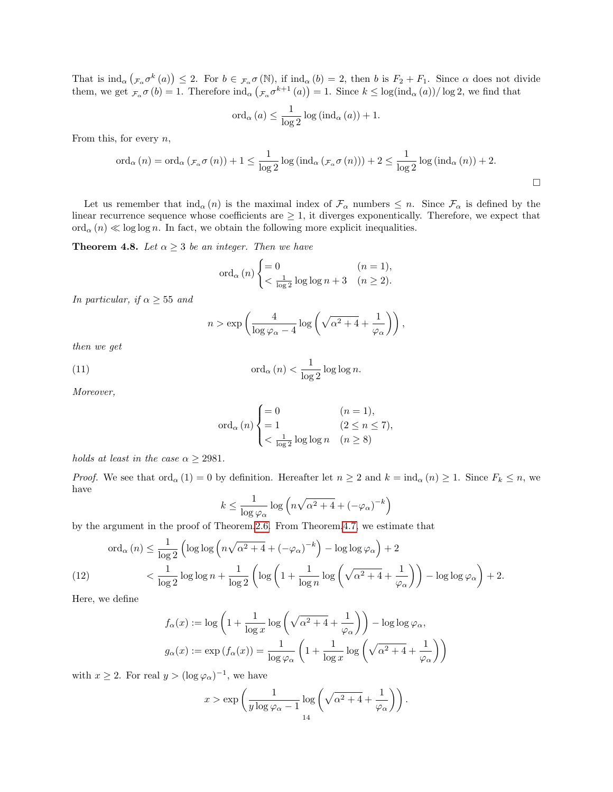That is  $\text{ind}_{\alpha}(\mathcal{F}_{\alpha} \sigma^k(a)) \leq 2$ . For  $b \in \mathcal{F}_{\alpha} \sigma(\mathbb{N})$ , if  $\text{ind}_{\alpha}(b) = 2$ , then b is  $F_2 + F_1$ . Since  $\alpha$  does not divide them, we get  $\mathcal{F}_{\alpha} \sigma(b) = 1$ . Therefore  $\text{ind}_{\alpha} (\mathcal{F}_{\alpha} \sigma^{k+1}(a)) = 1$ . Since  $k \leq \log(\text{ind}_{\alpha}(a))/\log 2$ , we find that

$$
\mathrm{ord}_{\alpha}(a) \leq \frac{1}{\log 2} \log\left(\mathrm{ind}_{\alpha}(a)\right) + 1.
$$

From this, for every  $n$ ,

$$
\operatorname{ord}_{\alpha}(n) = \operatorname{ord}_{\alpha}(\mathcal{F}_{\alpha}\sigma(n)) + 1 \leq \frac{1}{\log 2} \log \left( \operatorname{ind}_{\alpha}(\mathcal{F}_{\alpha}\sigma(n)) \right) + 2 \leq \frac{1}{\log 2} \log \left( \operatorname{ind}_{\alpha}(n) \right) + 2.
$$

Let us remember that  $\text{ind}_{\alpha}(n)$  is the maximal index of  $\mathcal{F}_{\alpha}$  numbers  $\leq n$ . Since  $\mathcal{F}_{\alpha}$  is defined by the linear recurrence sequence whose coefficients are  $\geq 1$ , it diverges exponentically. Therefore, we expect that ord<sub>α</sub> (n)  $\ll$  log log n. In fact, we obtain the following more explicit inequalities.

<span id="page-13-1"></span>**Theorem 4.8.** Let  $\alpha \geq 3$  be an integer. Then we have

$$
\operatorname{ord}_{\alpha}(n) \begin{cases} = 0 & (n = 1), \\ < \frac{1}{\log 2} \log \log n + 3 & (n \ge 2). \end{cases}
$$

In particular, if  $\alpha \geq 55$  and

$$
n > \exp\left(\frac{4}{\log \varphi_{\alpha} - 4} \log \left(\sqrt{\alpha^2 + 4} + \frac{1}{\varphi_{\alpha}}\right)\right),\,
$$

then we get

<span id="page-13-0"></span>(11) 
$$
\operatorname{ord}_{\alpha}(n) < \frac{1}{\log 2} \log \log n.
$$

Moreover,

$$
\operatorname{ord}_{\alpha}(n) \begin{cases} = 0 & (n = 1), \\ = 1 & (2 \leq n \leq 7), \\ < \frac{1}{\log 2} \log \log n & (n \geq 8) \end{cases}
$$

holds at least in the case  $\alpha \geq 2981$ .

*Proof.* We see that  $\text{ord}_{\alpha}(1) = 0$  by definition. Hereafter let  $n \geq 2$  and  $k = \text{ind}_{\alpha}(n) \geq 1$ . Since  $F_k \leq n$ , we have

$$
k \le \frac{1}{\log \varphi_{\alpha}} \log \left( n \sqrt{\alpha^2 + 4} + \left( -\varphi_{\alpha} \right)^{-k} \right)
$$

by the argument in the proof of Theorem[.2.6.](#page-7-0) From Theorem[.4.7,](#page-12-1) we estimate that

<span id="page-13-2"></span>
$$
\operatorname{ord}_{\alpha}(n) \le \frac{1}{\log 2} \left( \log \log \left( n \sqrt{\alpha^2 + 4} + (-\varphi_{\alpha})^{-k} \right) - \log \log \varphi_{\alpha} \right) + 2
$$
  

$$
\left( 12 \right) \qquad \qquad < \frac{1}{\log 2} \log \log n + \frac{1}{\log 2} \left( \log \left( 1 + \frac{1}{\log n} \log \left( \sqrt{\alpha^2 + 4} + \frac{1}{\varphi_{\alpha}} \right) \right) - \log \log \varphi_{\alpha} \right) + 2.
$$

Here, we define

$$
f_{\alpha}(x) := \log\left(1 + \frac{1}{\log x} \log\left(\sqrt{\alpha^2 + 4} + \frac{1}{\varphi_{\alpha}}\right)\right) - \log\log\varphi_{\alpha},
$$

$$
g_{\alpha}(x) := \exp\left(f_{\alpha}(x)\right) = \frac{1}{\log\varphi_{\alpha}}\left(1 + \frac{1}{\log x}\log\left(\sqrt{\alpha^2 + 4} + \frac{1}{\varphi_{\alpha}}\right)\right)
$$

with  $x \geq 2$ . For real  $y > (\log \varphi_{\alpha})^{-1}$ , we have

$$
x > \exp\left(\frac{1}{y \log \varphi_{\alpha} - 1} \log \left(\sqrt{\alpha^2 + 4} + \frac{1}{\varphi_{\alpha}}\right)\right).
$$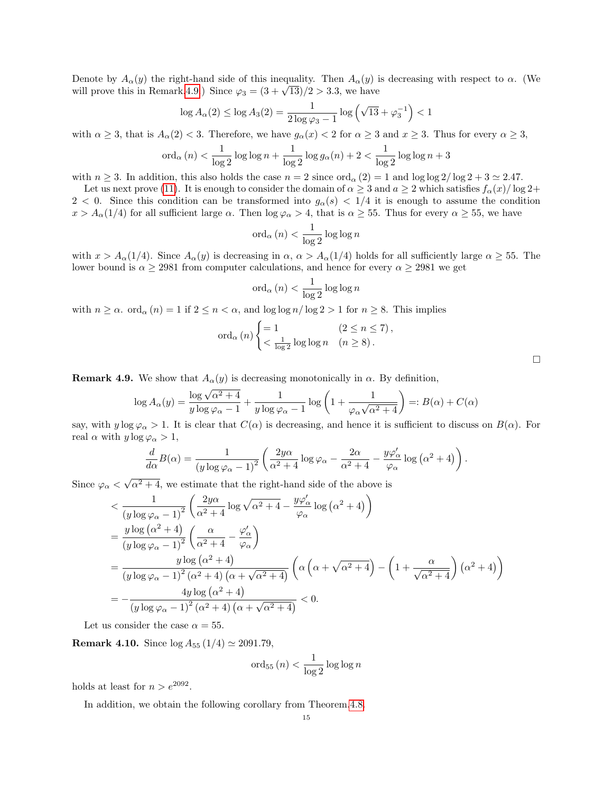Denote by  $A_{\alpha}(y)$  the right-hand side of this inequality. Then  $A_{\alpha}(y)$  is decreasing with respect to  $\alpha$ . (We Denote by  $A_{\alpha}(y)$  the right-hand side of this inequality. Then  $A_{\alpha}(y)$  is<br>will prove this in Remark[.4.9.](#page-14-0)) Since  $\varphi_3 = (3 + \sqrt{13})/2 > 3.3$ , we have

$$
\log A_{\alpha}(2) \le \log A_{3}(2) = \frac{1}{2 \log \varphi_{3} - 1} \log \left( \sqrt{13} + \varphi_{3}^{-1} \right) < 1
$$

with  $\alpha \geq 3$ , that is  $A_{\alpha}(2) < 3$ . Therefore, we have  $g_{\alpha}(x) < 2$  for  $\alpha \geq 3$  and  $x \geq 3$ . Thus for every  $\alpha \geq 3$ ,

$$
\operatorname{ord}_{\alpha}(n) < \frac{1}{\log 2} \log \log n + \frac{1}{\log 2} \log g_{\alpha}(n) + 2 < \frac{1}{\log 2} \log \log n + 3
$$

with  $n \geq 3$ . In addition, this also holds the case  $n = 2$  since  $\text{ord}_{\alpha}(2) = 1$  and  $\log \log 2 / \log 2 + 3 \approx 2.47$ .

Let us next prove [\(11\)](#page-13-0). It is enough to consider the domain of  $\alpha \geq 3$  and  $a \geq 2$  which satisfies  $f_{\alpha}(x)/\log 2+$ 2 < 0. Since this condition can be transformed into  $g_{\alpha}(s)$  < 1/4 it is enough to assume the condition  $x > A_{\alpha}(1/4)$  for all sufficient large  $\alpha$ . Then  $\log \varphi_{\alpha} > 4$ , that is  $\alpha \geq 55$ . Thus for every  $\alpha \geq 55$ , we have

$$
\operatorname{ord}_{\alpha}(n) < \frac{1}{\log 2} \log \log n
$$

with  $x > A_{\alpha}(1/4)$ . Since  $A_{\alpha}(y)$  is decreasing in  $\alpha$ ,  $\alpha > A_{\alpha}(1/4)$  holds for all sufficiently large  $\alpha \geq 55$ . The lower bound is  $\alpha \geq 2981$  from computer calculations, and hence for every  $\alpha \geq 2981$  we get

$$
\operatorname{ord}_{\alpha}(n) < \frac{1}{\log 2} \log \log n
$$

with  $n \ge \alpha$ . ord<sub> $\alpha$ </sub> (n) = 1 if  $2 \le n < \alpha$ , and  $\log \log n / \log 2 > 1$  for  $n \ge 8$ . This implies

$$
\operatorname{ord}_{\alpha}(n) \begin{cases} = 1 & (2 \le n \le 7), \\ < \frac{1}{\log 2} \log \log n & (n \ge 8). \end{cases}
$$

<span id="page-14-0"></span>**Remark 4.9.** We show that  $A_{\alpha}(y)$  is decreasing monotonically in  $\alpha$ . By definition,

$$
\log A_{\alpha}(y) = \frac{\log \sqrt{\alpha^2 + 4}}{y \log \varphi_{\alpha} - 1} + \frac{1}{y \log \varphi_{\alpha} - 1} \log \left( 1 + \frac{1}{\varphi_{\alpha} \sqrt{\alpha^2 + 4}} \right) =: B(\alpha) + C(\alpha)
$$

say, with  $y \log \varphi_\alpha > 1$ . It is clear that  $C(\alpha)$  is decreasing, and hence it is sufficient to discuss on  $B(\alpha)$ . For real  $\alpha$  with  $y \log \varphi_\alpha > 1$ ,

$$
\frac{d}{d\alpha}B(\alpha) = \frac{1}{(y \log \varphi_{\alpha} - 1)^2} \left( \frac{2y\alpha}{\alpha^2 + 4} \log \varphi_{\alpha} - \frac{2\alpha}{\alpha^2 + 4} - \frac{y\varphi_{\alpha}'}{\varphi_{\alpha}} \log (\alpha^2 + 4) \right).
$$

Since  $\varphi_{\alpha}$  <  $\sqrt{\alpha^2 + 4}$ , we estimate that the right-hand side of the above is

$$
\langle \frac{1}{(y \log \varphi_{\alpha} - 1)^2} \left( \frac{2y\alpha}{\alpha^2 + 4} \log \sqrt{\alpha^2 + 4} - \frac{y\varphi_{\alpha}'}{\varphi_{\alpha}} \log (\alpha^2 + 4) \right) \n= \frac{y \log (\alpha^2 + 4)}{(y \log \varphi_{\alpha} - 1)^2} \left( \frac{\alpha}{\alpha^2 + 4} - \frac{\varphi_{\alpha}'}{\varphi_{\alpha}} \right) \n= \frac{y \log (\alpha^2 + 4)}{(y \log \varphi_{\alpha} - 1)^2 (\alpha^2 + 4) (\alpha + \sqrt{\alpha^2 + 4})} \left( \alpha \left( \alpha + \sqrt{\alpha^2 + 4} \right) - \left( 1 + \frac{\alpha}{\sqrt{\alpha^2 + 4}} \right) (\alpha^2 + 4) \right) \n= -\frac{4y \log (\alpha^2 + 4)}{(y \log \varphi_{\alpha} - 1)^2 (\alpha^2 + 4) (\alpha + \sqrt{\alpha^2 + 4})} < 0.
$$

Let us consider the case  $\alpha = 55$ .

**Remark 4.10.** Since  $\log A_{55} (1/4) \simeq 2091.79$ ,

$$
\operatorname{ord}_{55}(n) < \frac{1}{\log 2} \log \log n
$$

holds at least for  $n > e^{2092}$ .

In addition, we obtain the following corollary from Theorem[.4.8.](#page-13-1)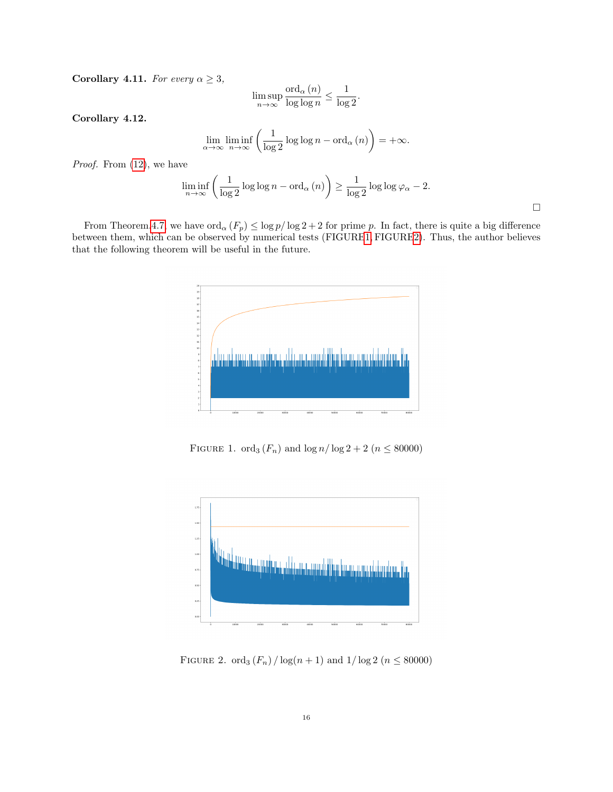Corollary 4.11. For every  $\alpha \geq 3$ ,

$$
\limsup_{n \to \infty} \frac{\text{ord}_{\alpha}(n)}{\log \log n} \le \frac{1}{\log 2}.
$$

Corollary 4.12.

$$
\lim_{\alpha \to \infty} \liminf_{n \to \infty} \left( \frac{1}{\log 2} \log \log n - \text{ord}_{\alpha}(n) \right) = +\infty.
$$

Proof. From  $(12)$ , we have

$$
\liminf_{n \to \infty} \left( \frac{1}{\log 2} \log \log n - \text{ord}_{\alpha}(n) \right) \ge \frac{1}{\log 2} \log \log \varphi_{\alpha} - 2.
$$

 $\Box$ 

From Theorem[.4.7,](#page-12-1) we have  $\text{ord}_{\alpha}(F_p) \leq \log p/\log 2 + 2$  for prime p. In fact, there is quite a big difference between them, which can be observed by numerical tests (FIGUR[E1](#page-15-0), FIGUR[E2\)](#page-15-1). Thus, the author believes that the following theorem will be useful in the future.



<span id="page-15-0"></span>FIGURE 1. ord<sub>3</sub>  $(F_n)$  and  $\log n / \log 2 + 2$  ( $n \leq 80000$ )



<span id="page-15-1"></span>FIGURE 2. ord<sub>3</sub>  $(F_n) / \log(n + 1)$  and  $1 / \log 2$  ( $n \leq 80000$ )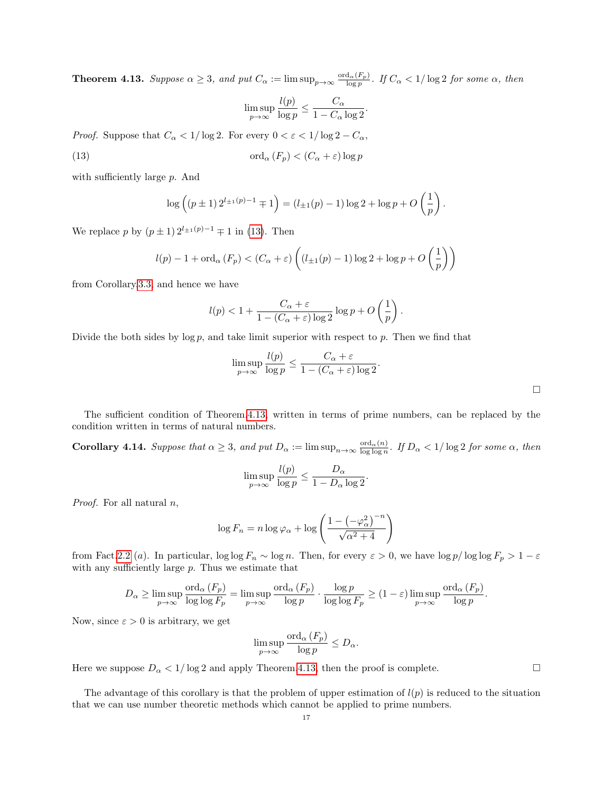<span id="page-16-0"></span>**Theorem 4.13.** Suppose  $\alpha \geq 3$ , and put  $C_{\alpha} := \limsup_{p \to \infty} \frac{\text{ord}_{\alpha}(F_p)}{\log p}$ . If  $C_{\alpha} < 1/\log 2$  for some  $\alpha$ , then

$$
\limsup_{p \to \infty} \frac{l(p)}{\log p} \le \frac{C_{\alpha}}{1 - C_{\alpha} \log 2}.
$$

*Proof.* Suppose that  $C_{\alpha} < 1/\log 2$ . For every  $0 < \varepsilon < 1/\log 2 - C_{\alpha}$ ,

<span id="page-16-2"></span>(13) 
$$
\operatorname{ord}_{\alpha}(F_p) < (C_{\alpha} + \varepsilon) \log p
$$

with sufficiently large  $p$ . And

$$
\log\left((p\pm 1) 2^{l_{\pm 1}(p)-1} \mp 1\right) = (l_{\pm 1}(p)-1)\log 2 + \log p + O\left(\frac{1}{p}\right).
$$

We replace p by  $(p \pm 1) 2^{l_{\pm 1}(p)-1} \mp 1$  in [\(13\)](#page-16-2). Then

$$
l(p) - 1 + \operatorname{ord}_{\alpha}(F_p) < (C_{\alpha} + \varepsilon) \left( (l_{\pm 1}(p) - 1) \log 2 + \log p + O\left(\frac{1}{p}\right) \right)
$$

from Corollary[.3.3,](#page-10-7) and hence we have

$$
l(p) < 1 + \frac{C_{\alpha} + \varepsilon}{1 - (C_{\alpha} + \varepsilon) \log 2} \log p + O\left(\frac{1}{p}\right).
$$

Divide the both sides by  $\log p$ , and take limit superior with respect to p. Then we find that

$$
\limsup_{p \to \infty} \frac{l(p)}{\log p} \le \frac{C_{\alpha} + \varepsilon}{1 - (C_{\alpha} + \varepsilon) \log 2}.
$$

The sufficient condition of Theorem[.4.13,](#page-16-0) written in terms of prime numbers, can be replaced by the condition written in terms of natural numbers.

<span id="page-16-1"></span>**Corollary 4.14.** Suppose that  $\alpha \geq 3$ , and put  $D_{\alpha} := \limsup_{n \to \infty} \frac{\text{ord}_{\alpha}(n)}{\log \log n}$ . If  $D_{\alpha} < 1/\log 2$  for some  $\alpha$ , then

$$
\limsup_{p \to \infty} \frac{l(p)}{\log p} \le \frac{D_{\alpha}}{1 - D_{\alpha} \log 2}.
$$

*Proof.* For all natural  $n$ ,

$$
\log F_n = n \log \varphi_\alpha + \log \left( \frac{1 - \left( -\varphi_\alpha^2 \right)^{-n}}{\sqrt{\alpha^2 + 4}} \right)
$$

from Fact[.2.2](#page-6-0) (a). In particular,  $\log \log F_n \sim \log n$ . Then, for every  $\varepsilon > 0$ , we have  $\log p / \log \log F_p > 1 - \varepsilon$ with any sufficiently large p. Thus we estimate that

$$
D_{\alpha} \geq \limsup_{p \to \infty} \frac{\text{ord}_{\alpha}(F_p)}{\log \log F_p} = \limsup_{p \to \infty} \frac{\text{ord}_{\alpha}(F_p)}{\log p} \cdot \frac{\log p}{\log \log F_p} \geq (1 - \varepsilon) \limsup_{p \to \infty} \frac{\text{ord}_{\alpha}(F_p)}{\log p}.
$$

Now, since  $\varepsilon > 0$  is arbitrary, we get

$$
\limsup_{p \to \infty} \frac{\text{ord}_{\alpha}(F_p)}{\log p} \le D_{\alpha}.
$$

Here we suppose  $D_{\alpha} < 1/\log 2$  and apply Theorem[.4.13,](#page-16-0) then the proof is complete.

The advantage of this corollary is that the problem of upper estimation of  $l(p)$  is reduced to the situation that we can use number theoretic methods which cannot be applied to prime numbers.

 $\Box$